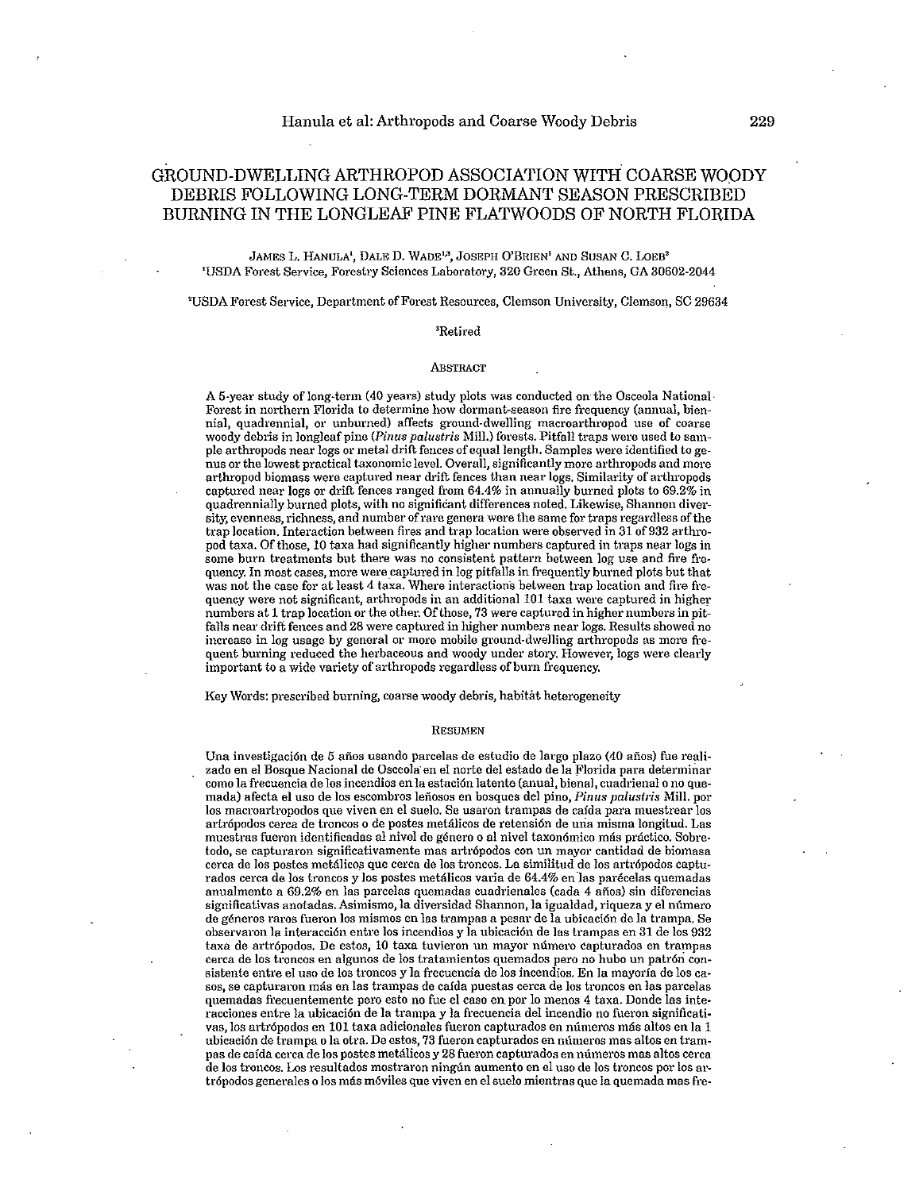# GROUND-DWELLING ARTHROPOD ASSOCIATION WITH COARSE WOODY DEBRIS FOLLOWING LONG-TERM DORMANT SEASON PRESCRIBED BURNING IN THE LONGLEAF PINE FLATWOODS OF NORTH FLORIDA

James L. Hanula', Dale D. Wade'<sup>3</sup>, Joseph O'Brien' and Susan C. Loeb<sup>2</sup> 'USDA Forest Service, Forestry Sciences Laboratory, 320 Green St., Athens, GA 30602·2044

<sup>2</sup>USDA Forest Service, Department of Forest Resources, Clemson University, Clemson, SC 29634

# 3Retired

# **ABSTRACT**

A 5·year study of long· term (40 years) study plots was conducted on the Osceola National· Forest in northern Florida to determine how dormant-season fire frequency (annual, biennial, quadrennial, or unburned) affects ground-dwelling macroarthropod use of coarse woody debris in longleaf pine *(Pinus palustris* Mil1.) forests. Pitfall traps were used to sample arthropods near logs or metal drift fences of equal length. Samples were identified to genus or the lowest practical taxonomic level. Overall, significantly more arthropods and more arthropod biomass were captured near drift fences than near logs. Similarity of arthropods captured near logs or drift fences ranged from 64.4% in annually burned plots to 69.2% in quadrennially burned plots, with no significant differences noted. Likewise, Shannon diversity, evenness, richness, and number ofrare genera were the same for traps regardless of the trap location. Interaction between fires and trap location were observed in 31 of932 arthropod taxa. Of those, 10 taxa had significantly higher numbers captured in traps near logs in some burn treatments but there was no consistent pattern between log use and fire frequency. In most cases, more were captured in log pitfalls in frequently burned plots but that was not the case for at least 4 taxa. Where interactions between trap location and fire frequency were not significant, arthropods in an additional 101 taxa were captured in higher numbers at 1 trap location or the other. Of those, 73 were captured in higher numbers in pitfalls near drift fences and 28 were captured in higher numbers near logs. Results showed no increase in log usage by general or more mobile ground-dwelling arthropods as more frequent burning reduced the herbaceous and woody under story. However, logs were clearly important to a wide variety of arthropods regardless of burn frequency.

Key Words: prescribed burning, coarse woody debris, habitat heterogeneity

# RESUMEN

Una investigación de 5 años usando parcelas de estudio de largo plazo (40 años) fue realizado en el Bosque Nacional de Osceola en el norte del estado de la Florida para determinar como la frecuencia de los incendios en la estación latente (anual, bienal, cuadrienal o no quemada) afecta el uso de los escombros leñosos en bosques del pino, Pinus palustris Mill. por los macroartropodos que viven en el suelo. Se usaron trampas de cafda para muestrear los artrópodos cerca de troncos o de postes metálicos de retensión de una misma longitud. Las muestras fueron identificadas al nivel de género o al nivel taxonómico más práctico. Sobretodo, se capturaron significativamente mas artrópodos con un mayor cantidad de biomasa cerca de los postes metálicos que cerca de los troncos. La similitud de los artrópodos capturados cerca de los troncos y los postes metálicos varia de 64.4% en las parécelas quemadas anualmente a 69.2% en las parcelas quemadas cuadrienales (cada 4 años) sin diferencias significativas anotadas. Asimismo, la diversidad Shannon, la igualdad, riqueza y el número de generos raros fueron los mismos en las trampas a pesar de la ubicaci6n de la trampa. Se observaron la interacci6n entre los incendios y la ubicaci6n de las trampas en 31 de los 932 taxa de artr6podos. De estos, 10 taxa tuvieron un mayor numero capturados en trampas cerca de los troncos en algunos de los tratamientos quemados pero no hubo un patrón consistente entre el usa de los troncos y la frecuencia de los incendios. En la mayorfa de los casos, se capturaron más en las trampas de caída puestas cerca de los troncos en las parcelas quemadas frecuentemente pero esto no fue el caso en por lo menos 4 taxa. Donde las interacciones entre la ubicaci6n de la trampa y la frecuencia del incendio no fueron significativas, los artrópodos en 101 taxa adicionales fueron capturados en números más altos en la 1 ubicación de trampa o la otra. De estos, 73 fueron capturados en números mas altos en tram-<br>pas de caída cerca de los postes metálicos y 28 fueron capturados en números mas altos cerca de los troncos. Los resultados mostraron ningún aumento en el uso de los troncos por los artrópodos generales o los más móviles que viven en el suelo mientras que la quemada mas fre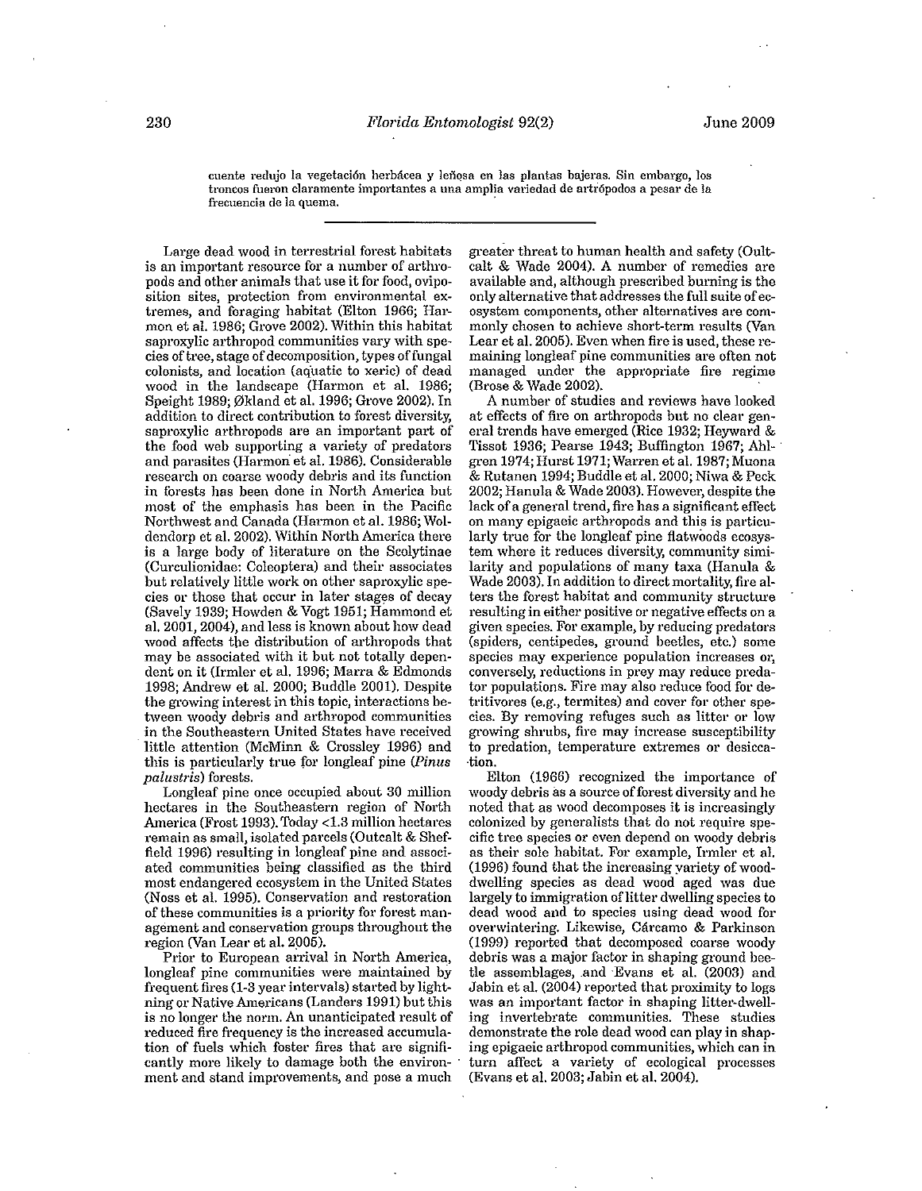cuente redujo la vegetación herbácea y leñosa en las plantas bajeras. Sin embargo, los troncos fueron claramente importantes a una amplia variedad de artrópodos a pesar de la **frecuencia de 1a quema. .** 

**Large dead wood in terrestrial forest habitats is an important resource for a number of arthropods and other animals that use it for food, oviposition sites, protection from environmental ex**tremes, and foraging habitat (Elton 1966; Harmon et al. 1986; Grove 2002). Within this habitat **saproxylic arthropod communities vary with species** of tree, **stage** of decomposition, **types offungal colonists, and location (aquatic to xeric) of dead**  wood in the landscape (Harmon et al. 1986; Speight 1989; 0kland et al. 1996; Grove 2002). In **addition to direct contribution to forest diversity, saproxylic arthropods are an important part of**  the food web supporting a variety of predators and parasites (Harmon et al. 1986). Considerable **research on coarse woody debris and its function in forests has been done in North America but most of the emphasis has been in the Pacific**  Northwest and Canada (Harmon et al. 1986; Woldendorp et al. 2002). Within North America there is a large body of literature on the Scolytinae **(Curculionidae: Coleoptera) and their associates but relatively little work on other saproxylic spe** $cies or those that occur in later stages of decay$ (Savely 1939; Howden & Vogt 1951; Hammond et al. 2001, 2004), and less is known about how dead wood affects the distribution of arthropods that may be associated with it but not totally dependent on it (Irmler et al. 1996; Marra & Edmonds 1998; Andrew et al. 2000; Buddie 2001). Despite **the growing interest in this topic, interactions between woody debris and arthropod communities**  in the Southeastern United States have received little attention (McMinn & Crossley 1996) and this is particularly true for longleaf pine *(Pinus*) *palustris)* **forests.** 

**Longleaf pine once occupied about 30 million hectares in the Southeastern region of North**  America (Frost 1993). Today <1.3 million hectares remain as small, isolated parcels (Outcalt & Sheffield 1996) resulting in longleaf pine and associ**ated communities being classified as the third most endangered ecosystem in the United States**  (Noss et al. 1995). Conservation and restoration **of these communities is a priority for forest management and conservation groups throughout the**  region (Van Lear et al. 2005).

**Prior to European arrival in North America, longleaf pine communities were maintained by**  frequent fires (1-3 year intervals) started by lightning or Native Americans (Landers 1991) but this **is no longer the norm. An unanticipated result of reduced fire frequency is the increased accumula**tion of fuels which foster fires that are significantly more likely to damage both the environment and stand improvements, and pose a much

greater threat to human health and safety (Oultcalt & Wade 2004). A number of remedies are **available and, although prescribed burning is the**  only alternative that addresses the full suite of ec**osystem components, other alternatives are commonly chosen to achieve short-term results (Van Lear et al. 2005). Even when fire is used, these remaining longleaf pine communities are often not managed under the appropriate fire regime**  (Brose & Wade 2002).

**A number of studies and reviews have looked at effects of fire on arthropods but no clear gen**eral trends have emerged (Rice 1932; Heyward & Tissot 1936; Pearse 1943; Buffington 1967; Ahlgren 1974; Hurst 1971; Warren et al. 1987; Muona & Rutanen 1994; Buddie et al. 2000; Niwa & Peck 2002; Hanula & Wade 2003). However, despite the **lack of a general trend, fire has a significant effect on many epigaeic arthropods and this is particu**larly true for the longleaf pine flatwoods ecosys**tem where it reduces diversity, community simi**larity and populations of many taxa (Hanula & Wade 2003). In addition to direct mortality, fire alters the forest habitat and community structure **resulting in either positive or negative effects on a given species. For example, by reducing predators (spiders, centipedes, ground beetles, etc.) some**  species may experience population increases or, **conversely, reductions in prey may reduce predator populations. Fire may also reduce food for detritivores (e.g., termites) and cover for other species. By removing refuges such as litter or low growing shrubs, fire may increase susceptibility to predation, temperature extremes or desicca- ·tion.** 

Elton (1966) recognized the importance of woody debris as a source of forest diversity and he **noted that as wood decomposes it is increasingly colonized by generalists that do not require spe**cific tree species or even depend on woody debris **as their sole habitat. For example, Irmler et al.**  (1996) found that the increasing yariety of wood**dwelling species as dead wood aged was due**  largely to immigration of litter dwelling species to **dead wood and to species using dead wood for overwintering. Likewise, Carcamo & Parkinson**  (1999) reported that decomposed coarse woody **debris was a major factor in shaping ground bee**tle assemblages, and Evans et al. (2003) and Jabin et al. (2004) reported that proximity to logs was an important factor in shaping litter-dwell**ing invertebrate communities. These studies**  demonstrate the role dead wood can play in shap**ing epigaeic arthropod communities, which can in turn affect a variety of ecological processes**  (Evans et al. 2003; Jabin et al. 2004).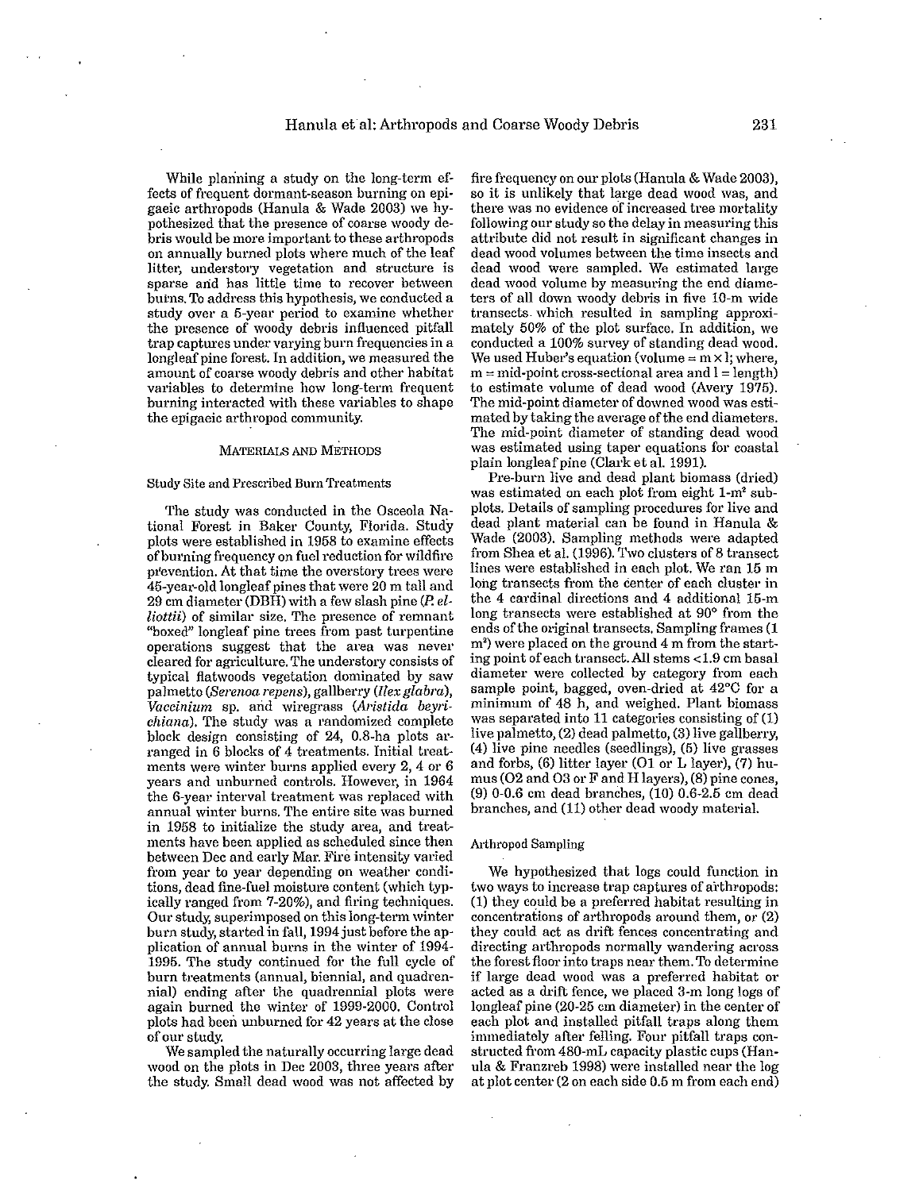While planning a study on the long-term ef**fects of frequent dormant-season burning on epi**gaeic arthropods (Hanula & Wade 2003) we hy**pothesized that the presence of coarse woody debris would be more important to these arthropods**  on annually burned plots where much of the leaf litter, understory vegetation and structure is **sparse arid has little time to recover between**  burns. To address this hypothesis, we conducted a **study over a 5-year period to examine whether the presence of woody debris influenced pitfall trap captm'es under varying burn frequencies in** a longleaf pine **forest. In addition, we measured the amount of coarse woody debris and other habitat variables to determine how long-term frequent burning interacted with these variables to shape the epigaeic arthropod community.** 

# MATERIALS AND METHODS

# **Study Site and Prescribed Burn Treatments**

The study was conducted in the Osceola National Forest in Baker County, Florida. Study plots were established in 1958 to examine effects **ofbul'ning frequency on** fuel reduction **for wildfire**  prevention. At that time the overstory trees were 45-year-old longleaf pines that were 20 m tall and 29 em diameter (DBH) with a few slash pine (P. *el-***Liottii) of similar size. The presence of remnant "boxed" longleaf pine trees from past turpentine operations suggest that the area was never cleared for agriculture. The understory consists of typical flatwoods vegetation dominated by saw**  palmetto *(Serenoa repens),* gallberry *(Ilex glabra), Vaccinium* **sp. arid wiregrass** *(Aristida beYl'i· chiana).* **The study was a randomized complete**  block design consisting of 24, 0.8-ha plots arranged in 6 blocks of 4 treatments. Initial treat**ments were winter burns applied every 2, 4 or 6 years and unburned controls. However, in 1964 the 6-year interval treatment was replaced with annual winter burns. The entire site was burned in 1958 to initialize the study area, and treatments have been applied as scheduled since then between Dec and early Mar. Fire intensity varied from year to year depending on weather conditions, dead fine·fuel moisture content (which typ**ically ranged from 7-20%), and firing techniques. **Our study, superimposed on this long-term winter**  burn study, started in fall, 1994 just before the ap**plication of annual burns in the winter of 1994-** 1995. The study continued for the full cycle of **burn treatments (annual, biennial, and quadrennial) ending after the quadrennial plots were**  again burned the winter of 1999-2000. Control plots had been unburned for 42 years at the close of OUt' study.

We sampled the naturally occurring large dead wood on the plots in Dec 2003, three years after the study. Small dead wood was not affected by

fire frequency on our plots (Hanula & Wade 2003), **so it is unlikely that large dead wood was, and there was no evidence of increased tree mortality following our study so the delay in measuring this attribute did not result in significant changes in dead wood volwnes between the time insects and dead wood were sampled. We estimated large dead wood volume by measuring the end diameters of all down woody debris in five 10·m wide transects. which resulted in sampling approxi**mately 50% of the plot surface. In addition, we conducted a 100% survey of standing dead wood. We used Huber's equation (volume  $=$  m $\times$  *l*; where,  $m = mid-point cross-sectional area and l = length$ to estimate volume of dead wood (Avery 1975). **The mid-point diameter of downed wood was esti**mated by taking the average of the end diameters. **The mid·point diameter of standing dead wood was estimated using taper equations for coastal**  plain longleaf pine (Clark et al. 1991).

Pre-burn live and dead plant biomass (dried) was estimated on each plot from eight 1-m<sup>2</sup> sub**plots. Details of sampling procedures for live and**  dead plant material can be found in Hanula & Wade (2003). Sampling methods were adapted from Shea et al. (1996). Two clusters of 8 transect **lines were established in each plot. We ran 15 m long transects from the center of each cluster in**  the 4 cardinal directions and 4 additional 15-m **long transects were established at 90° from the ends** of the **original transects. Sampling frames (1**  m<sup>2</sup>) were placed on the ground 4 m from the start**ing point of each transect. All stems <1.9 em basal diameter were collected by category from each sample point, bagged, oven·dried at 42°C for a minimum of 48 h, and weighed. Plant biomass was separated into 11 categories consisting of (1)**  live palmetto, (2) dead palmetto, (3) live gallberry, (4) live pine needles (seedlings), (5) live grasses and forbs, (6) litter layer (01 or L layer), (7) humus (02 and 03 or F and H layers), (8) pine cones, (9) 0-0.6 em dead branches, (10) 0.6-2.5 em dead branches, and (11) other dead woody material.

#### **Arthropod Sampling**

We hypothesized that logs could function in  $two$  ways to increase trap captures of arthropods: (1) they could be a preferred habitat resulting in **concentrations of arthropods around them, or (2) they could act as drift fences concentrating and directing arthropods normally wandering across the forest floor into traps near them. To determine if large dead wood was a preferred habitat or acted as a drift fence, we placed 3-m long logs of**  longleaf pine (20-25 em diameter) in the center of each plot and installed pitfall traps along them **immediately after felling. Four pitfall traps con**structed from 480-mL capacity plastic cups (Hanula  $&$  Franzreb 1998) were installed near the log at plot center (2 on each side 0.5 m from each end)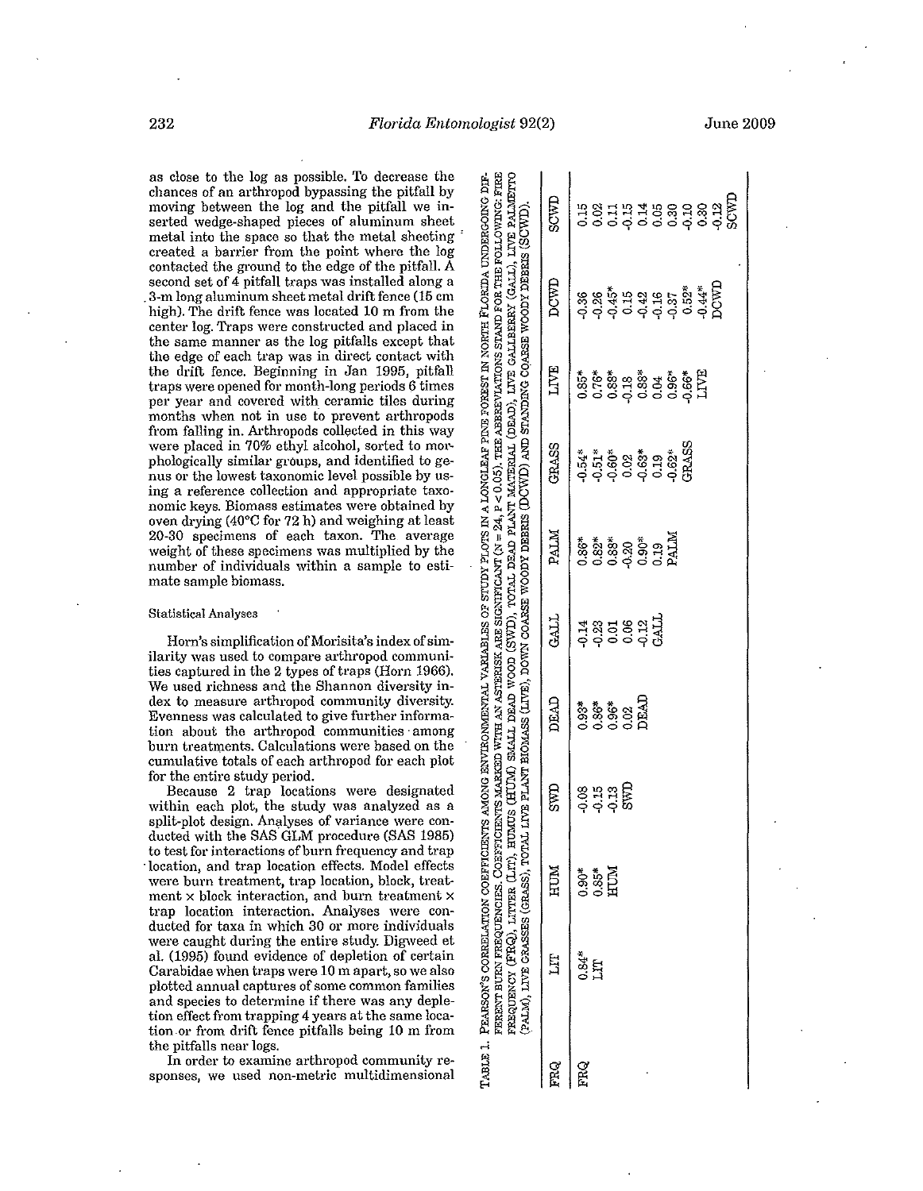**as close to the log as possible. To decrease the**  chances of an arthropod bypassing the pitfall by **moving between the log and the pitfall we inserted wedge-shaped pieces of aluminum sheet**  metal into the space so that the metal sheeting' **created a barrier from the point where the log**  contacted the ground to the edge of the pitfall. A second set of 4 pitfall traps was installed along a . 3-m long aluminum sheet metal drift fence (15 cm high). The drift fence was located 10 m from the center log. Traps were constructed and placed in the same manner as the log pitfalls except that **the edge of each trap was in direct contact with**  the drift fence. Beginning in Jan 1995, pitfall **traps were opened for month-long periods 6 times per year and covered with ceramic tiles during months when not in use to prevent arthropods**  from falling in. Arthropods collected in this way **were placed in 70% ethyl alcohol, sorted to mor**phologically similar groups, and identified to ge**nus or the lowest taxonomic level possible by using a reference collection and appropriate taxonomic keys. Biomass estimates were obtained by**  oven drying (40°C for 72 h) and weighing at least **20-30 specimens of each taxon. The average**  weight of these specimens was multiplied by the **number of individuals within a sample to estimate sample biomass.** 

# **Statistical Analyses**

Horn's simplification of Morisita's index of sim**ilarity was used to compare arthropod communi**ties captured in the 2 types of traps (Horn 1966). **We used richness and the Shannon diversity index to measure arthropod community diversity. Evenness was calculated to give further information about the arthropod communities· among burn treatments. Calculations were based on the**  cumulative totals of each arthropod for each plot for the entire study period.

**Because 2 trap locations were designated within each plot, the study was analyzed as a**  split-plot design. Analyses of variance were conducted with the 8AS GLM procedure (8AS 1985) to test for interactions of burn frequency and trap  $\cdot$  location, and trap location effects. Model effects **were burn treatment, trap location, block, treatment x block interaction, and burn treatment x trap location interaction. Analyses were conducted for taxa in which 30 or more individuals**  were caught during the entire study. Digweed et al. (1995) found evidence of depletion of certain **Carabidae when traps were 10 m apart, so we also plotted annual captures of some common families and species to determine if there was any depletion effect from trapping 4 years at the same loca**tion.or from drift fence pitfalls being 10 m from the pitfalls near logs.

**In order to examine arthropod community responses, we used non-metric multidimensional** 

|     | FERENT BURN FREQUENCIES. COEPENCIENTS MARKED WITH AN ASTERISK ARE SIGNIFICANT (N = 24, P < 0.05). THE ABBREVIATIONS STAND FOR THE FOLLOWING: FIRE<br>TABLE 1. PEARSON'S CORRELATION COEFFICIENTS AMONG ENVIRONG ENTERNALES OF STUDY PLOTS IN A LONGLEAR PINE FOREST IN NORTH FLORIDA UNDERGOING DIF-<br>reequency (FRQ), LITTER (LIT), HUMUS (HUM) SMALL DEAD WOOD (SWD), TOTAL DEAD PLANT MATERIAL (DEAD), LIVE GALLEERRY (GALL), LIVE PALMETTO<br>(PALM), LIVE GRASSES (GRASS), TOTAL |                         |                       |                               |                           |                                                         |       |      | live plant eiomass (live), down coarse woody debris (DCWL) and standing coarse woody debris (SCWD). |                                        |
|-----|-----------------------------------------------------------------------------------------------------------------------------------------------------------------------------------------------------------------------------------------------------------------------------------------------------------------------------------------------------------------------------------------------------------------------------------------------------------------------------------------|-------------------------|-----------------------|-------------------------------|---------------------------|---------------------------------------------------------|-------|------|-----------------------------------------------------------------------------------------------------|----------------------------------------|
| FRQ | Ë                                                                                                                                                                                                                                                                                                                                                                                                                                                                                       | HUM                     | SWD                   | <b>ORAD</b>                   | <b>GAIL</b>               | <b>NTV4</b>                                             | GRASS | LIVE | DCWD                                                                                                | <b>EMCS</b>                            |
| FRQ | $0.84*$                                                                                                                                                                                                                                                                                                                                                                                                                                                                                 |                         |                       |                               |                           |                                                         |       |      |                                                                                                     |                                        |
|     | Ę                                                                                                                                                                                                                                                                                                                                                                                                                                                                                       | <b>S</b><br>O.S.<br>HUM |                       |                               |                           |                                                         |       |      |                                                                                                     |                                        |
|     |                                                                                                                                                                                                                                                                                                                                                                                                                                                                                         |                         | ខ្លួងដី<br>ខ្ញុំដូច្ន | *<br>\$**<br>0000000<br>00000 | d<br>1828 311<br>1828 311 | <b>86*</b><br>0.88*<br>0.0.89<br>0.0.0.0.1.1.14<br>PALM |       |      |                                                                                                     |                                        |
|     |                                                                                                                                                                                                                                                                                                                                                                                                                                                                                         |                         |                       |                               |                           |                                                         |       |      |                                                                                                     |                                        |
|     |                                                                                                                                                                                                                                                                                                                                                                                                                                                                                         |                         |                       |                               |                           |                                                         |       |      |                                                                                                     |                                        |
|     |                                                                                                                                                                                                                                                                                                                                                                                                                                                                                         |                         |                       |                               |                           |                                                         |       |      |                                                                                                     |                                        |
|     |                                                                                                                                                                                                                                                                                                                                                                                                                                                                                         |                         |                       |                               |                           |                                                         |       |      |                                                                                                     | n<br>1981 1948 898 99<br>1981 1948 899 |
|     |                                                                                                                                                                                                                                                                                                                                                                                                                                                                                         |                         |                       |                               |                           |                                                         | GRASS |      |                                                                                                     |                                        |
|     |                                                                                                                                                                                                                                                                                                                                                                                                                                                                                         |                         |                       |                               |                           |                                                         |       |      |                                                                                                     |                                        |
|     |                                                                                                                                                                                                                                                                                                                                                                                                                                                                                         |                         |                       |                               |                           |                                                         |       |      |                                                                                                     |                                        |
|     |                                                                                                                                                                                                                                                                                                                                                                                                                                                                                         |                         |                       |                               |                           |                                                         |       |      |                                                                                                     | SCWT                                   |

232 *Florida Entomologist 92(2)* 

,..; TABLE

June 2009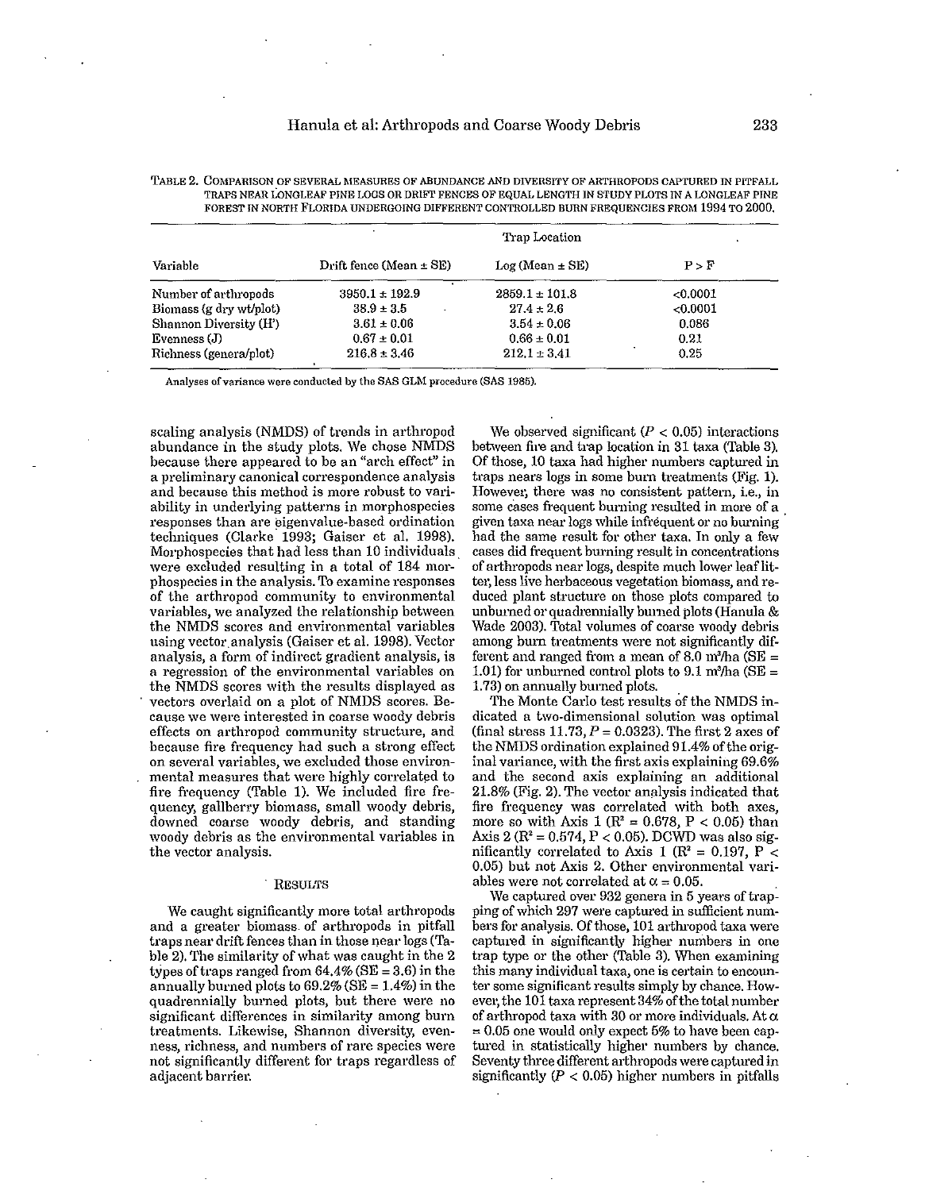|                               |                             | Trap Location       |          |
|-------------------------------|-----------------------------|---------------------|----------|
| Variable                      | Drift fence (Mean $\pm$ SE) | $Log (Mean \pm SE)$ | P > F    |
| Number of arthropods          | $3950.1 \pm 192.9$          | $2859.1 \pm 101.8$  | < 0.0001 |
| Biomass (g dry wt/plot)       | $38.9 \pm 3.5$              | $27.4 \pm 2.6$      | < 0.0001 |
| <b>Shannon Diversity (H')</b> | $3.61 \pm 0.06$             | $3.54 \pm 0.06$     | 0.086    |
| Evenness (J)                  | $0.67 \pm 0.01$             | $0.66 \pm 0.01$     | 0.21     |
| Richness (genera/plot)        | $216.8 \pm 3.46$            | $212.1 \pm 3.41$    | 0.25     |

| TABLE 2. COMPARISON OF SEVERAL MEASURES OF ABUNDANCE AND DIVERSITY OF ARTHROPODS CAPTURED IN PITFALL. |
|-------------------------------------------------------------------------------------------------------|
| TRAPS NEAR LONGLEAF PINE LOGS OR DRIFT FENCES OF EQUAL LENGTH IN STUDY PLOTS IN A LONGLEAF PINE       |
| FOREST IN NORTH FLORIDA UNDERGOING DIFFERENT CONTROLLED BURN FREQUENCIES FROM 1994 TO 2000.           |

**Analyses of variance were conducted by the SAS GLM procedure (SAS 1985).** 

scaling analysis (NMDS) of trends in arthropod abundance in the study plots. We chose NMDS **because there appeared to be an "arch effect" in a preliminary canonical correspondence analysis and because this method is more robust to vari· ability in underlying patterns in morphospecies responses than are ¢igenvalue·based ordination**  techniques (Clarke 1993; Gaiser et al. 1998). Morphospecies that had less than 10 individuals" **were excluded resulting in a total of 184 mar· phospecies in the analysis. To examine responses of the arthropod community to environmental variables, we analyzed the relationship between the NMDS scores and environmental variables**  using vector. analysis (Gaiser et al. 1998). Vector **analysis, a form of indirect gradient analysis, is a regression of the environmental variables on**  the NMDS scores with the results displayed as **vectors overlaid on a plot of NMDS scores. Because we were interested in coarse woody debris effects on arthropod community structure, and because fire frequency had such a strong effect on several variables, we excluded those environ**mental measures that were highly correlated to fire frequency (Table 1). We included fire fre**quency, gallberry biomass, small woody debris, downed coarse woody debris, and standing woody debris as the environmental variables in the vector analysis.** 

# RESULTS

We caught significantly more total arthropods **and a greater biomass. of arthropods in pitfall**  traps near drift fences than in those near logs (Table 2). The similarity of what was caught in the 2 types of traps ranged from  $64.4\%$  (SE = 3.6) in the annually burned plots to  $69.2\%$  (SE = 1.4%) in the **quadrennially burned plots, but there were no significant differences in similarity among burn treatments. Likewise, Shannon diversity, evenness, richness, and numbers of rare species were not significantly different for traps regardless of adjacent barrier.** 

We observed significant  $(P < 0.05)$  interactions between fire and trap location in 31 taxa (Table 3). Of those, 10 taxa had higher numbers captured in **traps nears logs in some bum treatments (Fig. 1).**  However, there was no consistent pattern, i.e., in some cases frequent burning resulted in more of a given taxa near logs while infrequent or no burning had the same result for other taxa. In only a few **cases did frequent burning result in concentrations**  of arthropods near logs, despite much lower leaf litter, less live herbaceous vegetation biomass, and reduced plant structure on those plots compared to unburned or quadrennially burned plots (Hanula  $\&$ Wade 2003). Total volumes of coarse woody debris among burn treatments were not significantly different and ranged from a mean of 8.0 m<sup>3</sup>/ha (SE = 1.01) for unburned control plots to 9.1 m<sup>3</sup>/ha (SE = 1.73) on annually burned plots.

The Monte Carlo test results of the NMDS in**dicated a two-dimensional solution was optimal**  (final stress  $11.73$ ,  $P = 0.0323$ ). The first 2 axes of the NMDS ordination explained 91.4% of the orig**inal variance, with the first axis explaining 69.6% and the second axis explaining an additional**  21.8% (Fig. 2). The vector analysis indicated that **fire frequency was correlated with both axes,**  more so with Axis 1 ( $\mathbb{R}^2 = 0.678$ ,  $P < 0.05$ ) than Axis 2 ( $R^2 = 0.574$ ,  $P < 0.05$ ). DCWD was also significantly correlated to Axis 1 ( $\mathbb{R}^2 = 0.197$ , P < **0.05) but not Axis 2. Other environmental vari**ables were not correlated at  $\alpha = 0.05$ .

**We captured over 932 genera in 5 years** of trap**ping** of which **297 were captmoed in sufficient num**bers for analysis. Of those, 101 arthropod taxa were **captured in significantly higher numbers in one**  trap type or the other (Table 3). When examining **this many individual taxa, one is certain to encounter some significant results simply by chance. How**ever, the 101 taxa represent 34% of the total number of arthropod taxa with 30 or more individuals. At  $\alpha$  $= 0.05$  one would only expect 5% to have been cap**tured in statistically higher numbers by chance.**  Seventy three different arthropods were captured in significantly  $(P < 0.05)$  higher numbers in pitfalls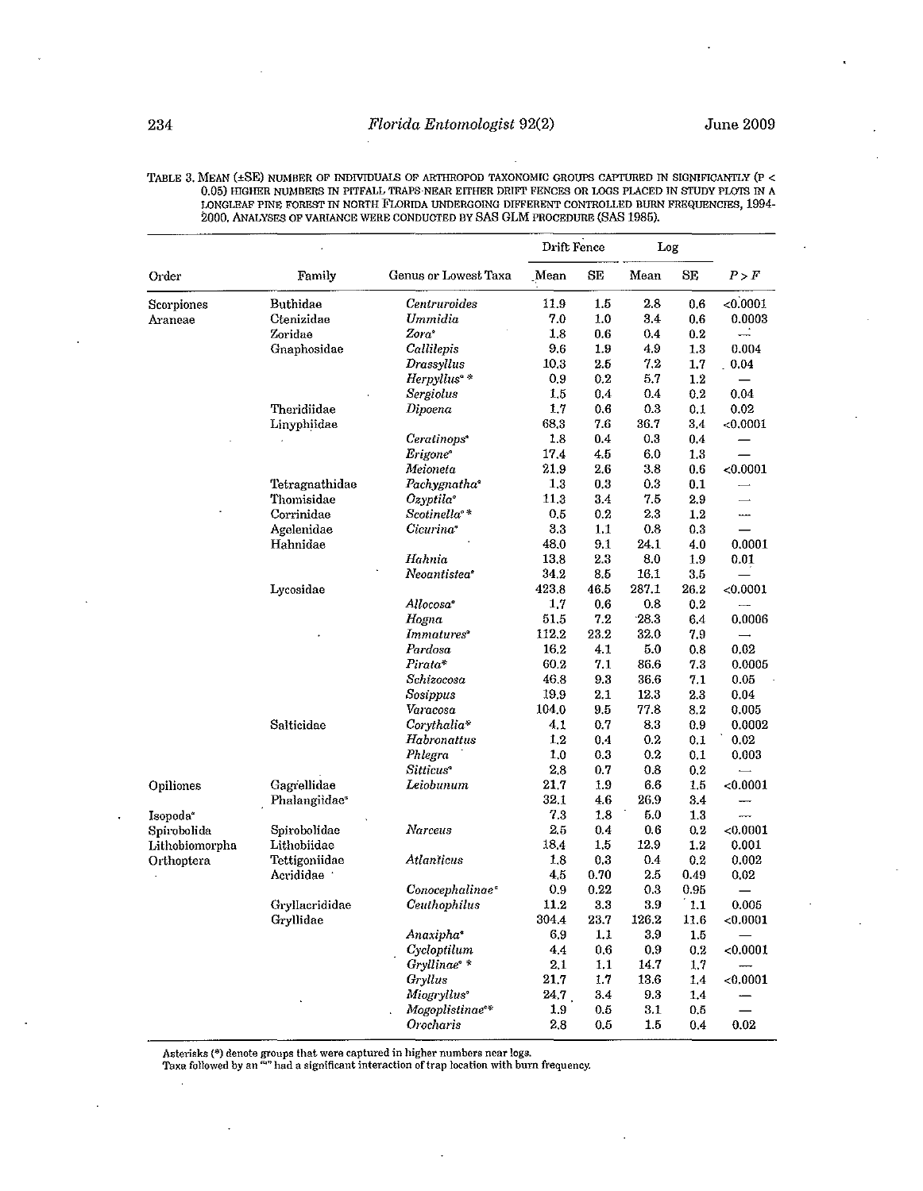**TABLE 3. MEAN (±SE) NUMBER OF INDIVIDUAlS OF ARTIIROPOD TAXONOMIC GROUPS CAPrURED IN SIGNIFICANTLY (p < 0.05) HIGHER NUMBERS IN PITFALL TRAPS·NEAR EITHER DRIFT FENCES OR LOGS PLACED IN STUDY PLOTS IN A LONGLEAF PINE FOREST IN NORTH FLoRIDA UNDERGOING DIFFERENT CON1ROLLED BURN FREQUENCIES, 1994- 2000, ANALYSES OF VARIANCE WERE CONDUCTED BY SAS GLM PROCEDURE (SAS 1985).** 

|                              |                           |                             | Drift Fence |              | Log       |       |          |
|------------------------------|---------------------------|-----------------------------|-------------|--------------|-----------|-------|----------|
| Order                        | Family                    | Genus or Lowest Taxa        | Mean        | SE           | Mean      | SE    | P > F    |
| Scorpiones                   | <b>Buthidae</b>           | Centruroides                | 11.9        | 1.5          | 2.8       | 0.6   | <0.0001  |
| Araneae                      | Ctenizidae                | Ummidia                     | 7.0         | 1.0          | 3.4       | 0.6   | 0.0003   |
|                              | Zoridae                   | $Zora^*$                    | 1.8         | 0.6          | 0.4       | 0.2   |          |
|                              | Gnaphosidae               | Callilepis                  | 9.6         | 1.9          | 49        | 1.3   | 0.004    |
|                              |                           | Drassyllus                  | 10.3        | 2.5          | 7.2       | 1.7   | . 0.04   |
|                              |                           | Herpyllus <sup>®</sup> *    | 0.9         | 0.2          | 5.7       | 1.2   |          |
|                              |                           | <b>Sergiolus</b>            | 1.5         | 0.4          | 0.4       | 0.2   | 0.04     |
|                              | Theridiidae               | Dipoena                     | 1.7         | 0.6          | 0.3       | 0.1   | 0.02     |
|                              | Linyphiidae               |                             | 68.3        | 7.6          | 36.7      | 3.4   | < 0.0001 |
|                              |                           | Ceratinops <sup>®</sup>     | 1.8         | 0.4          | 0.3       | 0.4   |          |
|                              |                           | Erigone <sup>®</sup>        | 17.4        | 4.5          | 6.0       | 1.3   |          |
|                              |                           | Meioneta                    | 219         | 2.6          | 3.8       | 0.6   | < 0.0001 |
|                              | Tetragnathidae            | Pachygnatha <sup>®</sup>    | 1.3         | 0.3          | 03        | 0.1   |          |
|                              | Thomisidae                | Ozyptila <sup>°</sup>       | 11.3        | 3.4          | 75        | 2.9   |          |
|                              | Corrinidae                | Scotinella <sup>*</sup>     | 0.5         | 0.2          | 23        | 1,2   |          |
|                              | Agelenidae                | Cicurina <sup>®</sup>       | 3.3         | 1,1          | 0.8       | 0.3   |          |
|                              | Hahnidae                  |                             | 48.0        | 9.1          | 24.1      | 4.0   | 0.0001   |
|                              |                           | Hahnia                      | 13.8        | 2.3          | 8.0       | 1.9   | 0.01     |
|                              |                           | Neoantistea°                | 34.2        | 8.5          | 16.1      | 3.5   |          |
|                              | Lycosidae                 |                             | 423.8       | 46.5         | 287.1     | 26.2  | < 0.0001 |
|                              |                           | Allocosa <sup>®</sup>       | 1.7         | 0.6          | 0.8       | 0.2   |          |
|                              |                           | Hogna                       | 51.5        | 7.2          | 28.3      | 6.4   | 0.0006   |
|                              |                           | Immatures <sup>®</sup>      | 112.2       | 23.2         | 32.0      | 7.9   |          |
|                              |                           | Pardosa                     | 16.2        | 4.1          | 5.0       | 0.8   | 0.02     |
|                              |                           | Pirata*                     | 60.2        | 7.1          | 86.6      | 7.3   | 0.0005   |
|                              |                           | Schizocosa                  | 46.8        | 9.3          | 36.6      | 7.1   | 0.05     |
|                              |                           | Sosippus                    | 19.9        | 2.1          | 12.3      | 2.3   | 0.04     |
|                              |                           | Varacosa                    | 104.0       | 9.5          | 77.8      | 8.2   | 0.005    |
|                              | Salticidae                | $Corythalia*$               | 4.1         | 0.7          | $\bf 8.3$ | 0.9   | 0.0002   |
|                              |                           | Habronattus                 | 1.2         | 0.4          | 0.2       | 0.1   | 0.02     |
|                              |                           | Phlegra                     | 1.0         | 0.3          | 0.2       | 0.1   | 0.003    |
|                              |                           | Sitticus <sup>*</sup>       | 2.8         | 0.7          | 0.8       | 0.2   |          |
| Opiliones                    | Gagrellidae               | Leiobunum                   | 21,7        | 1.9          | 6.6       | 1.5   | < 0.0001 |
|                              | Phalangiidae <sup>®</sup> |                             | 32.1        | $4.6\,$      | 26.9      | 3.4   |          |
| Isopoda <sup>*</sup>         |                           |                             | 7.3         | $1.8\,$      | 5.0       | 1.3   |          |
| Spirobolida                  | Spirobolidae              | Narceus                     | 2.5         | 0.4          | 0.6       | 0.2   | < 0.0001 |
| Lithobiomorpha<br>Orthoptera | Lithobiidae               |                             | 18.4        | 1.5          | 12.9      | 1.2   | 0.001    |
|                              | Tettigoniidae             | Atlanticus                  | 1.8         | 0.3          | 0.4       | 0.2   | 0.002    |
|                              | Acrididae                 |                             | 45          | 0.70         | 25        | 0.49  | 0.02     |
|                              |                           | Conocephalinae <sup>®</sup> | 0.9         | 0.22         | 0.3       | 0.95  |          |
|                              | Gryllacrididae            | Ceuthophilus                | 11.2        | $_{\rm 3.3}$ | 3.9       | - 1.1 | 0.005    |
|                              | Gryllidae                 |                             | 304,4       | 23.7         | 126.2     | 11.6  | < 0.0001 |
|                              |                           | Anaxipha <sup>®</sup>       | 6.9         | 1.1          | 3.9       | 1.5   |          |
|                              |                           | Cycloptilum                 | 4.4         | 0.6          | 0.9       | 0.2   | < 0.0001 |
|                              |                           | Gryllinae <sup>*</sup>      | 2.1         | 1,1          | 14.7      | 1.7   |          |
|                              |                           | Gryllus                     | 21.7        | 1.7          | 13.6      | 1.4   | < 0.0001 |
|                              |                           | Miogryllus <sup>®</sup>     | 24.7        | 3.4          | 9.3       | 1,4   |          |
|                              |                           | Mogoplistinae <sup>®*</sup> | 1.9         | 0.5          | 3.1       | 0.5   |          |
|                              |                           | Orocharis                   | 2.8         | 0.5          | 1.5       | 0.4   | 0.02     |

Asterisks (\*) denote groups that were captured in higher numbers near logs.<br>Taxa followed by an <sup>«</sup>" had a significant interaction of trap location with burn frequency.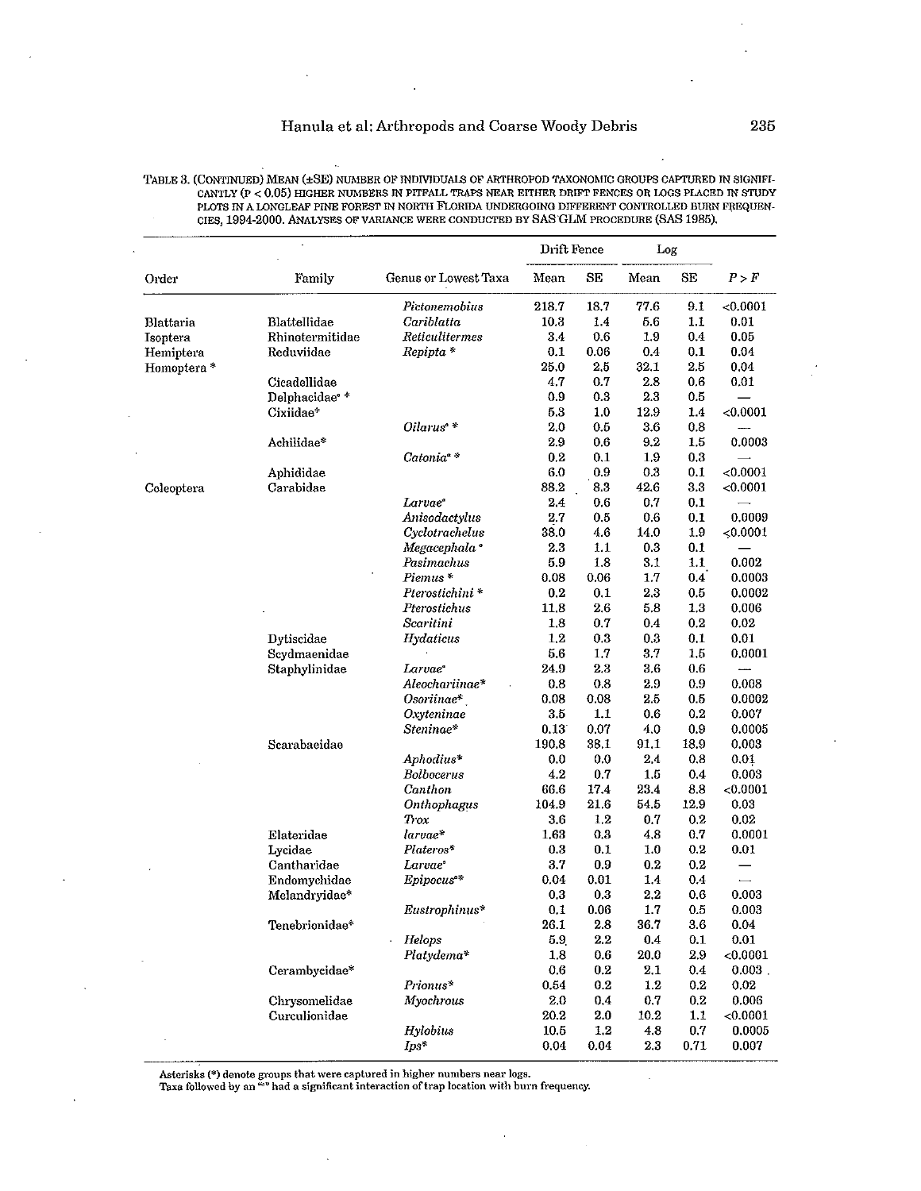i,

| TABLE 3. (CONTINUED) MEAN (±SE) NUMBER OF INDIVIDUALS OF ARTHROPOD TAXONOMIC GROUPS CAPTURED IN SIGNIFI- |
|----------------------------------------------------------------------------------------------------------|
| CANTLY (P < 0.05) HIGHER NUMBERS IN PITFALL TRAPS NEAR EITHER DRIFT FENCES OR LOGS PLACED IN STUDY       |
| PLOTS IN A LONGLEAF PINE FOREST IN NORTH FLORIDA UNDERGOING DIFFERENT CONTROLLED BURN FREQUEN-           |
| CIES, 1994-2000. ANALYSES OF VARIANCE WERE CONDUCTED BY SAS GLM PROCEDURE (SAS 1985).                    |

 $\ddot{\phantom{a}}$ 

 $\ddot{\phantom{a}}$ 

|                  |                          |                          | Drift Fence |         | Log     |         |                          |
|------------------|--------------------------|--------------------------|-------------|---------|---------|---------|--------------------------|
| Order            | Family                   | Genus or Lowest Taxa     | Mean        | SE      | Mean    | SE      | P > F                    |
|                  |                          | Pictonemobius            | 218.7       | 18.7    | 77.6    | 9.1     | < 0.0001                 |
| <b>Blattaria</b> | Blattellidae             | Cariblatta               | 10.3        | 1.4     | 56      | 1.1     | 0.01                     |
| Isoptera         | Rhinotermitidae          | Reticulitermes           | 3.4         | 0.6     | 1.9     | 0.4     | 0.05                     |
| Hemiptera        | Reduviidae               | Repipta *                | 0.1         | 0.06    | 0.4     | 0.1     | 0.04                     |
| Homoptera*       |                          |                          | 25.0        | 2.5     | 32.1    | 2.5     | 0.04                     |
|                  | Cicadellidae             |                          | 4.7         | 0.7     | 2.8     | 0.6     | 0.01                     |
|                  | Delphacidae <sup>®</sup> |                          | 0.9         | 0.3     | 2.3     | 0.5     |                          |
|                  | Cixiidae*                |                          | 5.3         | 1.0     | 12.9    | 1.4     | < 0.0001                 |
|                  |                          | Oilarus <sup>*</sup>     | 2.0         | 0.5     | 3.6     | 0.8     |                          |
|                  | Achilidae*               |                          | 2.9         | 0.6     | 9.2     | $1.5\,$ | 0.0003                   |
|                  |                          | Catonia <sup>*</sup>     | 0.2         | 0.1     | 1.9     | 0.3     |                          |
|                  | Aphididae                |                          | 6.0         | 0.9     | 0.3     | 0.1     | < 0.0001                 |
| Coleoptera       | Carabidae                |                          | 88.2        | 8.3     | 42.6    | 3.3     | < 0.0001                 |
|                  |                          | Larvae <sup>®</sup>      | 24          | 0.6     | 0.7     | 0.1     |                          |
|                  |                          | Anisodactylus            | 2.7         | 0.5     | 0.6     | 0.1     | 0.0009                   |
|                  |                          | Cyclotrachelus           | 38.0        | 4.6     | 14.0    | 1.9     | 50.0001                  |
|                  |                          | Megacephala <sup>a</sup> | 23          | 1.1     | 0.3     | 0.1     |                          |
|                  |                          | Pasimachus               | 5.9         | 1.8     | 3.1     | 1.1     | 0.002                    |
|                  |                          | Piemus*                  | 0.08        | 0.06    | 1.7     | 0.4     | 0.0003                   |
|                  |                          | Pterostichini*           | 0.2         | 0.1     | 2.3     | 0.5     | 0.0002                   |
|                  |                          | Pterostichus             | 11.8        | 2.6     | 5.8     | 1.3     | 0.006                    |
|                  |                          | Scaritini                | 1.8         | 0.7     | 0.4     | 0.2     | 0.02                     |
|                  | Dytiscidae               | Hydaticus                | 1.2         | 0.3     | 0.3     | 0.1     | 0.01                     |
|                  | Scydmaenidae             |                          | 5.6         | 1.7     | 3.7     | 1.5     | 0.0001                   |
|                  | Staphylinidae            | Larvae <sup>®</sup>      | 24.9        | 2.3     | 3.6     | $0.6\,$ |                          |
|                  |                          | Aleochariinae*           | $0.8\,$     | 0.8     | $2.9\,$ | 0.9     | 0.008                    |
|                  |                          | Osoriinae*               | 0.08        | 0.08    | 2.5     | 0.5     | 0.0002                   |
|                  |                          | Oxyteninae               | 3.5         | 1,1     | 0.6     | 0.2     | 0.007                    |
|                  |                          | Steninae*                | 0.13        | 0.07    | 4.0     | 0.9     | 0.0005                   |
|                  | Scarabaeidae             |                          | 190.8       | 38.1    | 91.1    | 18.9    | 0.003                    |
|                  |                          | Aphodius*                | $_{0.0}$    | 0.0     | 2.4     | 0.8     | 0.01                     |
|                  |                          | <b>Bolbocerus</b>        | 4.2         | 0.7     | 1.5     | 0.4     | 0.003                    |
|                  |                          | Canthon                  | 66.6        | 17.4    | 23.4    | 8.8     | < 0.0001                 |
|                  |                          | Onthophagus              | 104.9       | 21.6    | 54.5    | 12.9    | 0.03                     |
|                  |                          | Trox                     | 3.6         | 1,2     | 0.7     | 0.2     | 0.02                     |
|                  | Elateridae               | larvae*                  | 1.63        | 0.3     | 4.8     | 0.7     | 0.0001                   |
|                  | Lycidae                  | Plateros*                | 0.3         | 0.1     | 1.0     | 0.2     | 0.01                     |
|                  | Cantharidae              | Larvae"                  | 3.7         | 0.9     | 0.2     | 0.2     |                          |
|                  | Endomychidae             | Epipocus <sup>*</sup>    | 0.04        | 0.01    | 1.4     | 0.4     | $\overline{\phantom{0}}$ |
|                  | Melandryidae*            |                          | 0.3         | 0.3     | 2.2     | 0.6     | 0.003                    |
|                  |                          | Eustrophinus*            | $0.1\,$     | 0.06    | $1.7\,$ | 0.5     | 0.003                    |
|                  | Tenebrionidae*           |                          | 26.1        | 2.8     | 36.7    | 3.6     | 0.04                     |
|                  |                          | Helops                   | $5.9\,$     | $2.2\,$ | 0.4     | 0.1     | 0.01                     |
|                  |                          | Platydema*               | $1.8\,$     | 0.6     | 20.0    | 2.9     | < 0.0001                 |
|                  | Cerambycidae*            |                          | 0.6         | 0.2     | 2.1     | 0.4     | $0.003$ .                |
|                  |                          | Prionus*                 | $\bf 0.54$  | 0.2     | 1.2     | 0.2     | 0.02                     |
|                  | Chrysomelidae            | Myochrous                | 2.0         | $0.4\,$ | 0.7     | 0.2     | 0.006                    |
|                  | Curculionidae            |                          | 20.2        | 2.0     | 10.2    | 1.1     | <0.0001                  |
|                  |                          | Hylobius                 | 10.5        | 1,2     | 4.8     | 0.7     | 0.0005                   |
|                  |                          | $Ips^*$                  | 0.04        | 0.04    | 2.3     | 0.71    | 0.007                    |

Asterisks (\*) denote groups that were captured in higher numbers near logs.<br>Taxa followed by an "" had a significant interaction of trap location with burn frequency.

 $\bar{z}$ 

 $\ddot{\phantom{a}}$ 

l.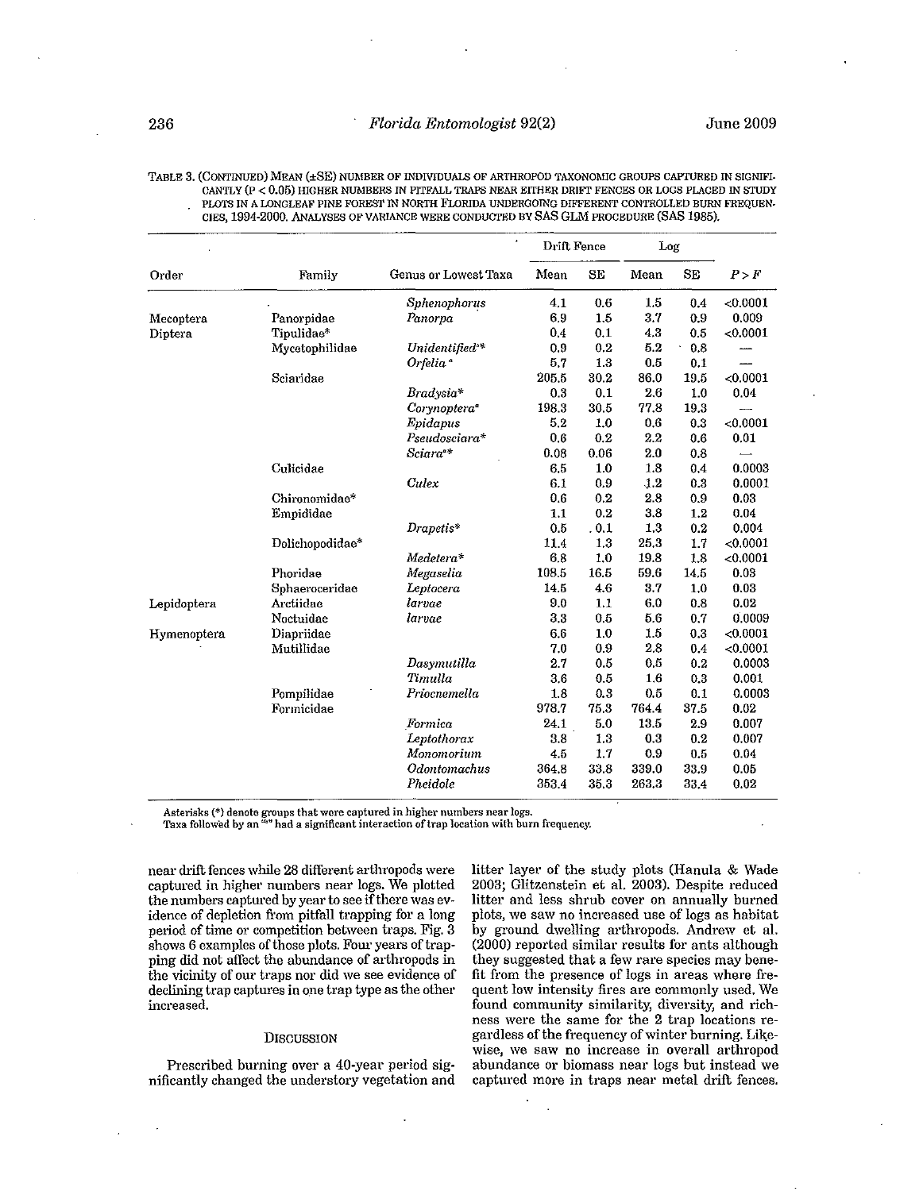**TABLE 3. (CONTINUED) MEAN (±SE) NUMBER OF INDIVIDUALS OF ARTHROPOD TAXONOMIC GROUPS CAPTURED IN SIGNIFI· CANTLY (p < 0.05) mGHER NUMBERS IN PITFALL TRAPS NEAR EITHER DRIFT FENCES OR LOGS PLACED IN STUDY PLOTS IN A LONGLEAF PINE FOREST IN NORTH FLoRIDA UNDERGOING DIFFERENT CONTROLLED BURN FREQUEN. CIES, 1994-2000. ANALYSES OF VARIANCE WERE CONDUGrED BY BAS GLl\1 PROCEDURE (SAS 1985).** 

|             |                 |                            | Drift Fence |       | Log              |      |          |
|-------------|-----------------|----------------------------|-------------|-------|------------------|------|----------|
| Order       | Family          | Genus or Lowest Taxa       | Mean        | SE    | Mean             | SE   | P > F    |
|             |                 | Sphenophorus               | 4.1         | 0.6   | 1.5              | 0.4  | < 0.0001 |
| Mecoptera   | Panorpidae      | Panorpa                    | 69          | 1.5   | 3.7              | 0.9  | 0.009    |
| Diptera     | Tipulidae*      |                            | 0.4         | 0.1   | 4.3              | 0.5  | < 0.0001 |
|             | Mycetophilidae  | Unidentified <sup>®*</sup> | 0.9         | 0.2   | 5.2              | 0.8  |          |
|             |                 | Orfelia <sup>®</sup>       | 57          | 1.3   | 0.5              | 0.1  |          |
|             | Sciaridae       |                            | 205.5       | 30.2  | 86.0             | 19.5 | < 0.0001 |
|             |                 | Bradysia*                  | 0.3         | 0.1   | 2.6              | 1.0  | 0.04     |
|             |                 | Corynoptera <sup>®</sup>   | 198.3       | 30.5  | 77.8             | 19.3 |          |
|             |                 | Epidapus                   | 5.2         | 1,0   | 0.6              | 0.3  | < 0.0001 |
|             |                 | Pseudosciara*              | 0.6         | 0.2   | 2.2              | 0.6  | 0.01     |
|             |                 | Sciara <sup>**</sup>       | 0.08        | 0.06  | 2.0              | 0.8  |          |
|             | Culicidae       |                            | 6.5         | 1.0   | 1.8              | 0.4  | 0.0003   |
|             |                 | Culex                      | 6.1         | 0.9   | 1.2              | 0.3  | 0.0001   |
|             | Chironomidae*   |                            | 0.6         | 0.2   | 2.8              | 0.9  | 0.03     |
|             | Empididae       |                            | 1.1         | 0.2   | 3.8              | 1.2  | 0.04     |
|             |                 | Drapetis*                  | 0.5         | . 0.1 | 1,3              | 0.2  | 0.004    |
|             | Dolichopodidae* |                            | 11.4        | 1.3   | 25.3             | 1.7  | < 0.0001 |
|             |                 | Medetera*                  | 6.8         | 1,0   | 19.8             | 1.8  | < 0.0001 |
|             | Phoridae        | Megaselia                  | 108.5       | 16.5  | 59.6             | 14.5 | 0.03     |
|             | Sphaeroceridae  | Leptocera                  | 14.5        | 4.6   | 3.7              | 1,0  | 0.03     |
| Lepidoptera | Arctiidae       | larvae                     | $9.0\,$     | 1,1   | 6.0              | 0.8  | 0.02     |
|             | Noctuidae       | larvae                     | 3.3         | 0.5   | 5.6              | 0.7  | 0.0009   |
| Hymenoptera | Diapriidae      |                            | 6.6         | 1,0   | 15               | 0.3  | < 0.0001 |
|             | Mutillidae      |                            | 7.0         | 0.9   | 2.8              | 0.4  | < 0.0001 |
|             |                 | Dasymutilla                | 2.7         | 0.5   | 0.5              | 0.2  | 0.0003   |
|             |                 | Timulla                    | 3.6         | 0.5   | $1.6\phantom{0}$ | 0.3  | 0.001    |
|             | Pompilidae      | Priocnemella               | 1.8         | 0.3   | 0.5              | 0.1  | 0.0003   |
|             | Formicidae      |                            | 978.7       | 75.3  | 764.4            | 37.5 | 0.02     |
|             |                 | Formica                    | 24.1        | 5.0   | 13.5             | 2.9  | 0.007    |
|             |                 | Leptothorax                | 3.8         | 1,3   | 0.3              | 0.2  | 0.007    |
|             |                 | Monomorium                 | 4,5         | 1.7   | 0.9              | 0.5  | 0.04     |
|             |                 | Odontomachus               | 364.8       | 33.8  | 339.0            | 33.9 | 0.05     |
|             |                 | Pheidole                   | 353.4       | 35.3  | 263.3            | 33.4 | 0.02     |

Asterisks (\*) denote groups that were captured in higher numbers near logs.<br>Taxa followed by an "" had a significant interaction of trap location with burn frequency.

**near drift fences while 28 different arthropods were**  captured in higher numbers near logs. We plotted **the numbers captured by year to see** if there **was** ev~ idence of depletion from pitfall trapping for a long **period of time or competition between traps. Fig. 3 shows 6 examples of those plots. Four years of trap**ping did not affect the abundance of arthropods in the vicinity of our traps nor did we see evidence of declining trap captures in one trap type as the other **increased.** 

### DISCUSSION

Prescribed burning over a 40-year period significantly changed the understory vegetation and litter layer of the study plots (Hanula & Wade 2003; Glitzenstein et al. 2003). Despite reduced **litter and less shrub cover on annually burned plots, we saw no increased use of logs as habitat**  by ground dwelling arthropods. Andrew et al. (2000) reported similar results for ants although **they suggested that a few rare species may benefit from the presence of logs in areas where frequent low intensity fires are commonly used. We found community similarity, diversity, and richness were the same for the 2 trap locations regardless** of the **frequency** of winter **burning. Lik;ewise, we saw no increase in overall arthropod abundance Or biomass near logs but instead we captured more in traps near metal drift fences.**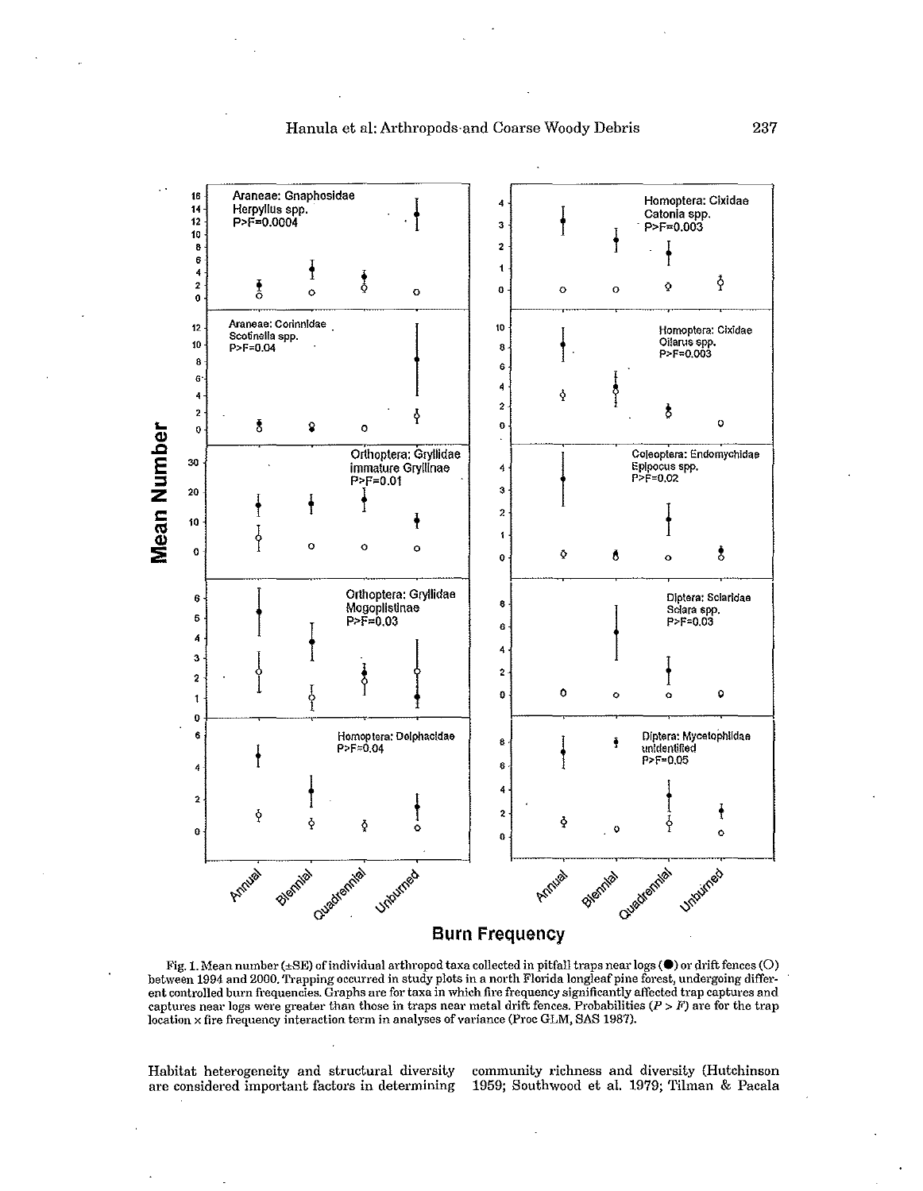

# Hanula et al: Arthropods-and Coarse Woody Debris 237

Fig. 1. **Mean number (±SE)** of individual **arthropod taxa collected in pitfall traps near logs (e) 01' drift fences (0)**  between 1994 and 2000. Trapping occurred in study plots in a north Florida longleaf pine forest, undergoing differ**ent controlled burn frequencies. Graphs are for taxa in which fire frequency significantly affected trap captures and**  captures near logs were greater than those in traps near metal drift fences. Probabilities  $(P > F)$  are for the trap location x fire frequency interaction term in analyses of variance (Proc GLM, SAS 1987).

2 o

**Burn Frequency** 

 $\Phi$ 

 $\sim$ 

Blennig

**are considered important factors in determining** 

Antival Biennia Cuadrama , Victoria e

 $\mathbf{0}$ 

Habitat heterogeneity and structural diversity **community richness and diversity (Hutchinson**  1959; Southwood et al. 1979; Tilman & Pacala

 $\begin{matrix} &\mathbf{0} & &\mathbf{0}\ & &\mathbf{0} & &\mathbf{0}\end{matrix}$ 

Hennie <sub>Cusedrennie Unburneo</sub>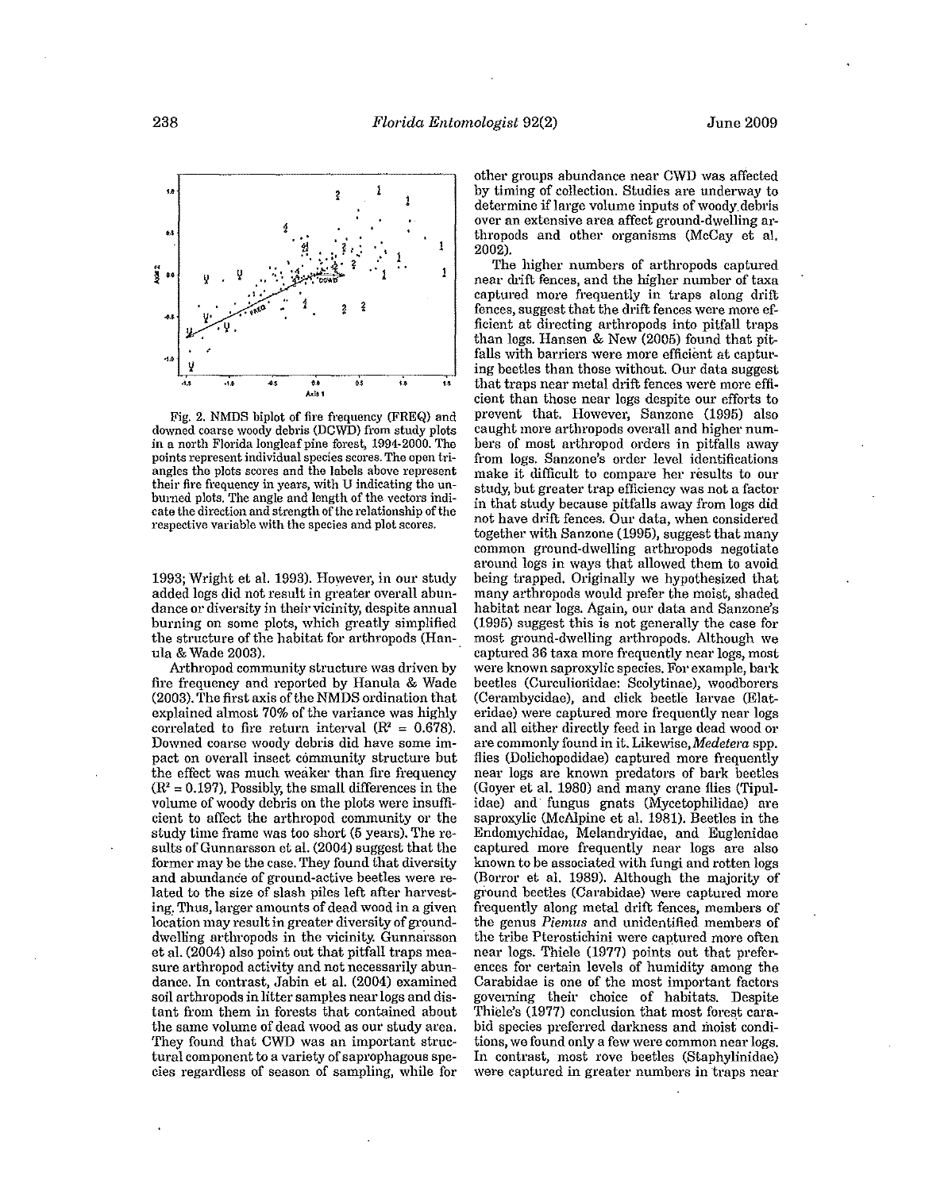

**Fig. 2. NMDS biplot of fire frequency (FREQ) and downed coarse woody debris (DCWn) from study plots in a north Florida** longleaf pine **forest, 1994-2000. The**  points represent individual species scores. The open tri**angles the plots scores and the labels above represent their fire frequency in years, with U indicating the unburned plots. The angle and length of the vectors indicate the direction and strength of the relationship of the respective variable with the species and plot scores.** 

1993; Wright et al. 1993). However, in our study added logs did not result in greater overall abun**dance or diversity in their vicinity, despite annual burning on some plots, which greatly simplified**  the structure of the habitat for arthropods (Hanula & Wade 2003).

Arthropod community structure was driven by fire frequency and reported by Hanula & Wade (2003). The first axis of the NMDS ordination that explained almost 70% of the variance was highly correlated to fire return interval  $(R^2 = 0.678)$ . **Downed coarse woody debris did have some impact on overall insect community structure but the effect was much weaker than fire frequency**   $(R<sup>2</sup> = 0.197)$ , Possibly, the small differences in the **volume of woody debris on the plots were insufficient to affect the arthropod community or the**  study time frame was too short (5 years). The results of Gunnarsson et al. (2004) suggest that the former may be the case. They found that diversity **and abundance of ground-active beetles were re**lated to the size of slash piles left after harvest**ing. 'l'hus, larger amounts of dead wood in a given location may result in greater diversity of ground**dwelling arthropods in the vicinity. Gunnarsson et al. (2004) also point out that pitfall traps mea**sure arthropod activity and not necessarily abun**dance. In contrast, Jabin et al. (2004) examined **soil arthropods in litter samples near logs and distant from them in forests that contained about the same volume of dead wood as our study area.**  They found that CWD was an important struc**tural component to a variety of saprophagous species regardless of season of sampling, while for**  **other groups abundance near own was affected by timing of collection. Studies are underway to determine** if large **volume inputs** of woody\_debris over an extensive area affect ground-dwelling arthropods and other organisms (McCay et al. 2002).

The higher numbers of arthropods captured near drift fences, and the higher number of taxa **captured more frequently in traps along drift; fences, suggest that the drift fences were more ef**ficient at directing arthropods into pitfall traps than logs. Hansen & New (2005) found that pitfalls with barriers were more efficient at capturing beetles than those without. Our data suggest **that traps near metal drift fences were more efficient than those near logs despite our efforts to**  prevent that. However, Sanzone (1995) also **caught more arthropods overall and higher numbers of most arthropod orders in pitfalls away from logs. Sanzone's order level identifications make it difficult to compare her results to our study, but greater trap efficiency was not a factor**  in that study because pitfalls away from logs did **not have drift fences. Our data, when considered**  together with Sanzone (1995), suggest that many common ground-dwelling arthropods negotiate around logs in ways that allowed them to avoid being trapped. Originally we hypothesized that many arthropods would prefer the moist, shaded **habitat near logs. Again, our data and Sanzone's**  (1995) suggest this is not generally the case for most ground-dwelling arthropods. Although we **captured 36 taxa more frequently near logs, most were known saproxylic species. For example, bark beetles (Ourculionidae: Scolytinae), woodborers**  (Cerambycidae), and click beetle larvae (Elat**eridae) were captured more frequently near logs**  and all either directly feed in large dead wood or **are commonly found in it.** Likewise, *Medetera* **spp.**  flies (Dolichopodidae) captured more frequently **near logs are known predators of bark beetles**  (Goyer et al. 1980) and many crane flies (Tipulidae) and' fungus gnats (Mycetophilidae) are saproxylic (McAlpine et al. 1981). Beetles in the Endomychidae, Melandryidae, and Euglenidae **captured more frequently near logs are also known to be associated with fungi and rotten logs**  (Borror et al. 1989). Although the majority of gi'ound beetles (Carabidae) were captured more **frequently along metal drift fences, members of the genus** *Piemlls* **and unidentified members of**  the tribe Pterostichini were captured more often near logs. Thiele (1977) points out that prefer**ences for certain levels of humidity among the**  Carabidae is one of the most important factors goveming their choice of habitats. Despite Thiele's (1977) conclusion that most forest cara**bid species preferred darkness and moist conditions, we found only a few were common near logs.**  In contrast, most rove beetles (Staphylinidae) **were captured in greater numbers in traps near**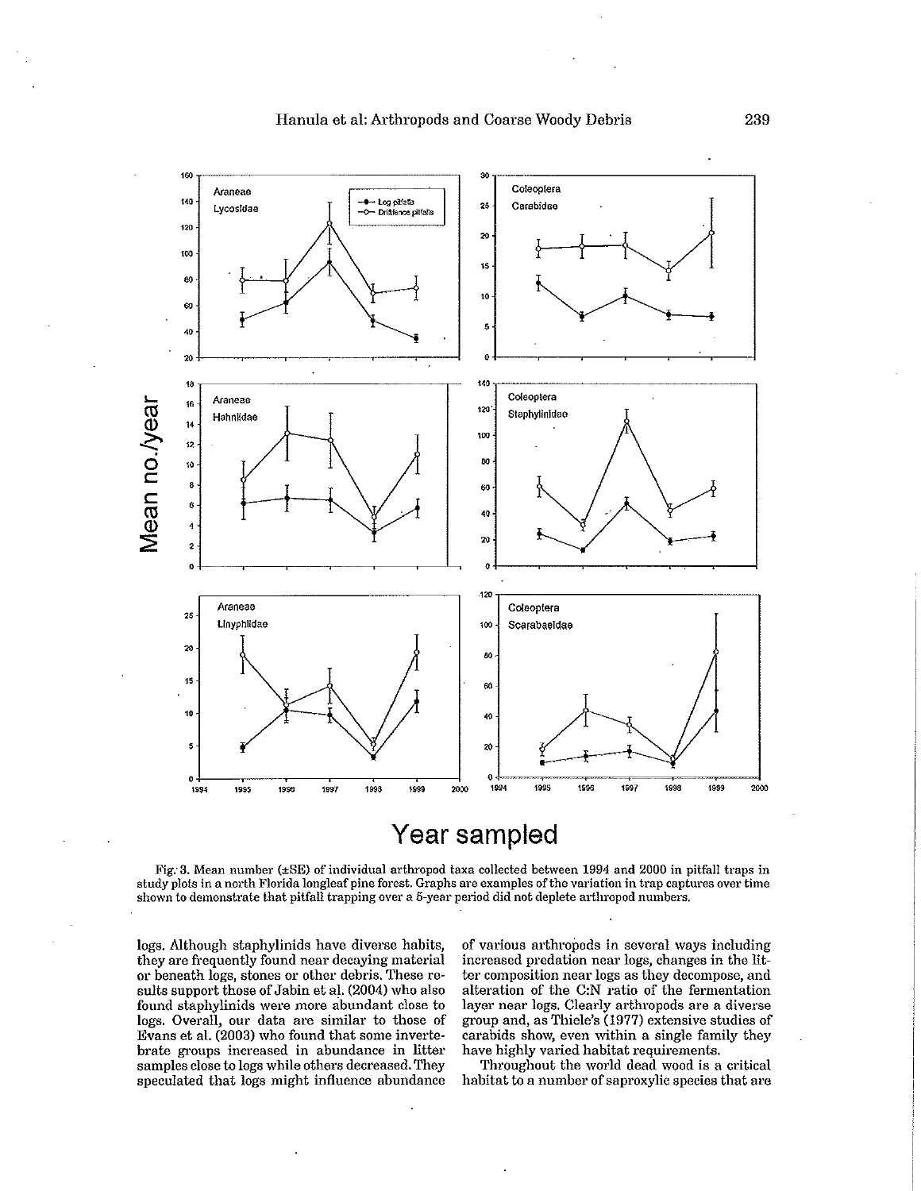

# **Year sampled**

**Fig: 3. Mean number (±SE) of individual arthropod taxa collected between 1994 and 2000 in pitfall traps in study plots in a north Florida** longleaf pine **forest. Graphs are examples** of the **variation in trap captures over time shown to demonstrate that pitfall trapping over a 5-year period did not deplete arthropod numbers.** 

logs. Although staphylinids have diverse habits, **they are frequently found near decaying material or beneath logs, stones or other debris. These re**sults support those of Jabin et al. (2004) who also **found staphylinids were more abundant close to logs. Overall, our data are similar to those of**  Evans et al. (2003) who found that some inverte· **brate groups increased in abundance in litter samples close to logs while others decreased. They**  speculated that logs might influence abundance

**of various arthropods in several ways including increased predation near logs, changes in the litter composition near logs as they decompose, and alteration of the C:N ratio of the fermentation layer near logs. Clearly arthropods are a diverse group and, as Thiele's (1977) extensive studies of**  carabids show, even within a single family they have highly varied habitat requirements.

Throughout the world dead wood is a critical **habitat to a number of saproxylic species that are**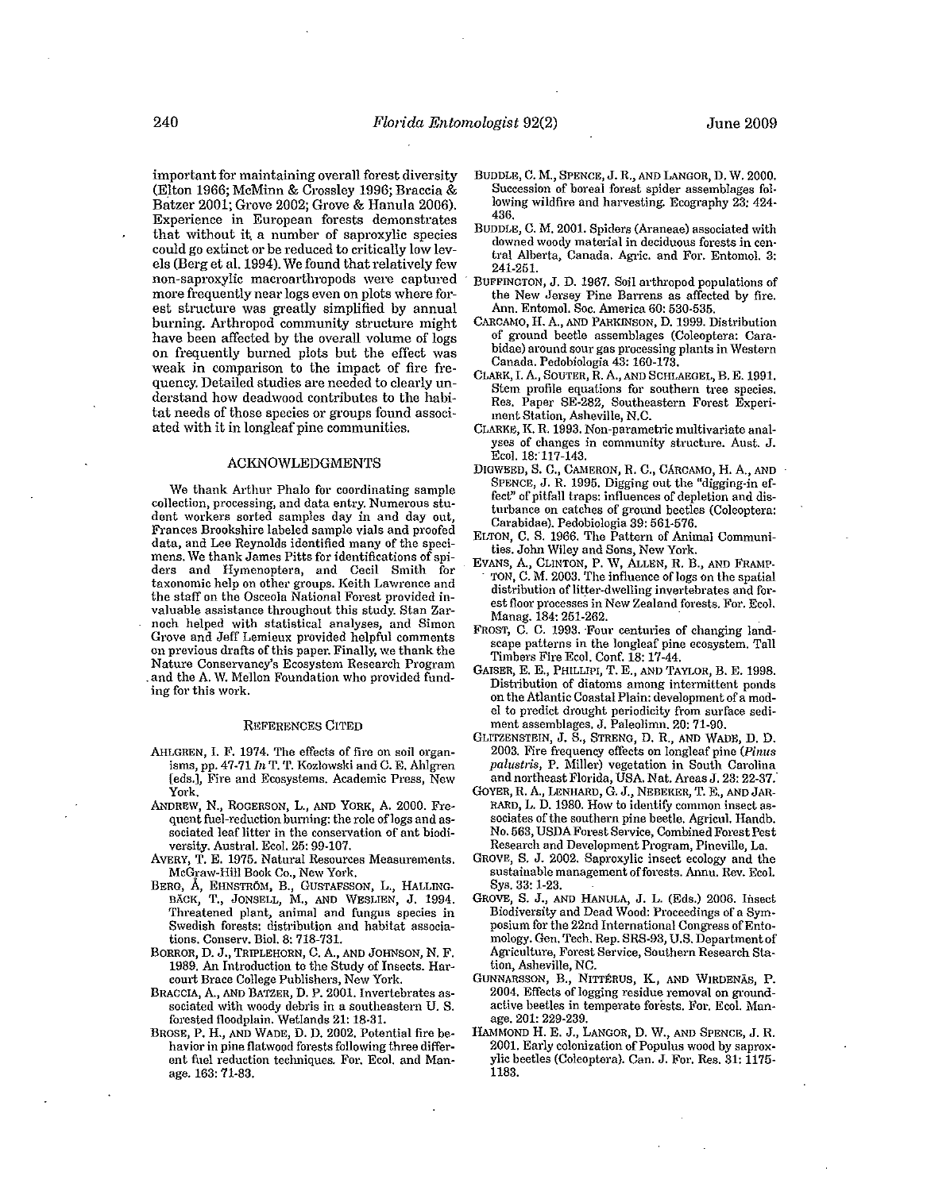important for maintaining overall forest diversity (Elton 1966; McMinn & Crossley 1996; Braccia & Batzer 2001; Grove 2002; Grove & Ranula 2006). Experience in European forests demonstrates that without it. a number of saproxylic species could go extinct or be reduced to critically low levels (Berg et al. 1994). We found that relatively few non-saproxylic macroarthropods were captured more frequently near logs even on plots where forest structure was greatly simplified by annual burning. Arthropod community structure might have been affected by the overall volume of logs on frequently burned plots but the effect was weak in comparison to the impact of fire frequency. Detailed studies are needed to clearly understand how deadwood contributes to the habitat needs of those species or groups found associated with it in longleaf pine communities.

# ACKNOWLEDGMENTS

We thank Arthur Phalo for coordinating sample collection, processing, and data entry. Numerous student workers sorted samples day in and day out, Frances Brookshire labeled sample vials and proofed data, and Lee Reynolds identified many of the specimens. \Ve thank James Pitts for identifications of spiders and Hymenoptera, and Cecil Smith for taxonomic help on other groups. Keith Lawrence and the staff on the Osceola National Forest provided invaluable assistance throughout this study. Stan Zarnoch helped with statistical analyses, and Simon Grove and Jeff Lemieux provided helpful comments on previous drafts of this paper. Finally, we thank the Nature Conservancy's Ecosystem Research Program . and the A. \V. Mellon Foundation who provided funding for this work.

## REFERENCES CITED

- AHLGREN, I. F. 1974. The effects of fire on soil organisms, pp.  $47-71$   $ln$  T. T. Kozlowski and C. E. Ahlgren [eds.], Fire and Ecosystems. Academic Press, New York.
- ANDREW, N., ROGERSON, L., AND YORK, A 2000. Frequent fuel-reduction burning: the role of logs and associated leaf litter in the conservation of ant biodiversity. Austral. Ecol. 25: 99-107.
- AVERY, T. E. 1975. Natural Resources Measurements. McGraw-Hill Book Co., New York.
- BERG, A, EHNSTROM, B., GUSTAFSSON, L., HALLING. BACK, T., JONSELL, M., AND WESLIEN, J. 1994. Threatened plant, animal and fungus species in Swedish forests: distribution and habitat associations. Conserv. Biol. 8: 718-731.
- BORROR, D. J., TRIPLEHORN, C. A, AND JOHNSON, N. F. 1989. An Introduction to the Study of Insects. Harcourt Brace College Publishers, New York.
- BRACCIA, A, AND BATZER, D. P. 2001. Invertebrates associated with woody debris in a southeastern U. S. forested floodplain. Wetlands 21: 18·31.
- BROSE, P. H., AND WADE, D. D. 2002. Potential fire be· havior in pine flatwood forests following three different fuel reduction techniques. For. Eco1. and Man· age. 163: 71-83.
- BUDDLE, C. M., SPENCE, J. R, AND LANGOR, D. W. 2000. Succession of boreal forest spider assemblages fol· lowing wildfire and harvesting. Ecography 23: 424· 436.
- BUDDLE, C. M. 2001. Spiders (Araneae) associated with downed woody material in deciduous forests in cen· tral Alberta, Canada. Agric. and For. Entomol. 3: 241-251.
- . BUFFINGTON, J. D. 1967. Soil arthropod populations of the New Jersey Pine Barrens as affected by fire. Ann. Entomol. Soc. America 60: 530·535.
- CARCAMO, H. A, AND PARKINSON, D. 1999. Distribution of ground beetle assemblages (Coleoptera: Carabidae) around sour gas processing plants in Western Canada. Pedobiologia 43: 160-173.
- CLARK, I. A., SOUTER, R A, AND SCHLAEGEL, B. E. 1991. Stem profile equations for southern tree species. Res. Paper SE-282, Southeastern Forest Experiment Station, Asheville, N.C.
- CLARKE, K. R. 1993. Non-parametric multivariate analyses of changes in community structure. Aust. J. Ecol. 18:117-143.
- DIGWEED, S. C., CAMERON, R. C., CARCAMO, H. A., AND SPENCE, J. R 1995. Digging out the "digging-in effect" of pitfall traps: influences of depletion and disturbance on catches of ground beetles (Coleoptera: Carabidae). Pedobiologia 39: 561-576.
- ELTON, C. S. 1966. The Pattern of Animal Communities. John Wiley and Sons, New York.
- EVANS, A, CLINTON, P. \V, ALLEN, R. B., AND FRAMP- TON, C. M. 2003. The influence of logs on the spatial distribution of litter-dwelling invertebrates and forest floor processes in New Zealand forests. For. Eco1. Manag. 184: 251-262. .
- FROST, C. C. 1993. Four centuries of changing landscape patterns in the longleaf pine ecosystem. TaU Timbers Fire EcoL Conf. 18: 17-44.
- GAISER, E. E., PHILLIPI, T. E., AND TAYLOR, B. E. 1998 . Distribution of diatoms among intermittent ponds on the Atlantic Coastal Plain: development of a model to predict drought periodicity from surface sediment assemblages. J. Paleolimn. 20: 71·90.
- GLITZENSTEIN, J. S., STRENG, D. R, AND WADE, D. D. 2003. Fire frequency effects on longleaf pine *(Pinus paiustris,* P. Miller) vegetation in South Carolina and northeast Florida, USA. Nat. Areas J. 23: 22-37.
- GoYER, R. A, LENHARD, G. J., NEBEKER, T. E., AND JAR-RARD, L. D. 1980. How to identify common insect associates of the southern pine beetle. Agricul. Handh. No. 563, USDA Forest Service, Combined Forest Pest Research and Development Program, Pineville, La.
- GROVE, S. J. 2002. Saproxylic insect ecology and the sustainable management of forests. Annu. Rev. Ecol. Sys. 33: 1-23.
- GROVE, S. J., AND RANULA, J. L. (Eds.) 2006. Insect Biodiversity and Dead Wood: Proceedings of a Sym· posium for the 22nd International Congress of Entomology. Gen. Tech. Rep. SRS·93, U.S. Department of Agriculture, Forest Service, Southern Research Station, Asheville, NC.
- GUNNARSSON, B., NITIERUS, K, AND WIRDENAB, P. 2004. Effects of logging residue removal on groundactive beetles in temperate forests. For. Ecol. Man· age. 201: 229-239.
- HAMMOND H. E. J., LANGOR, D. \V., AND SPENCE, J. R. 2001. Early colonization of Populus wood by saproxylic beetles (Coleoptera). Can. J. For. Res. 31: 1175· 1183.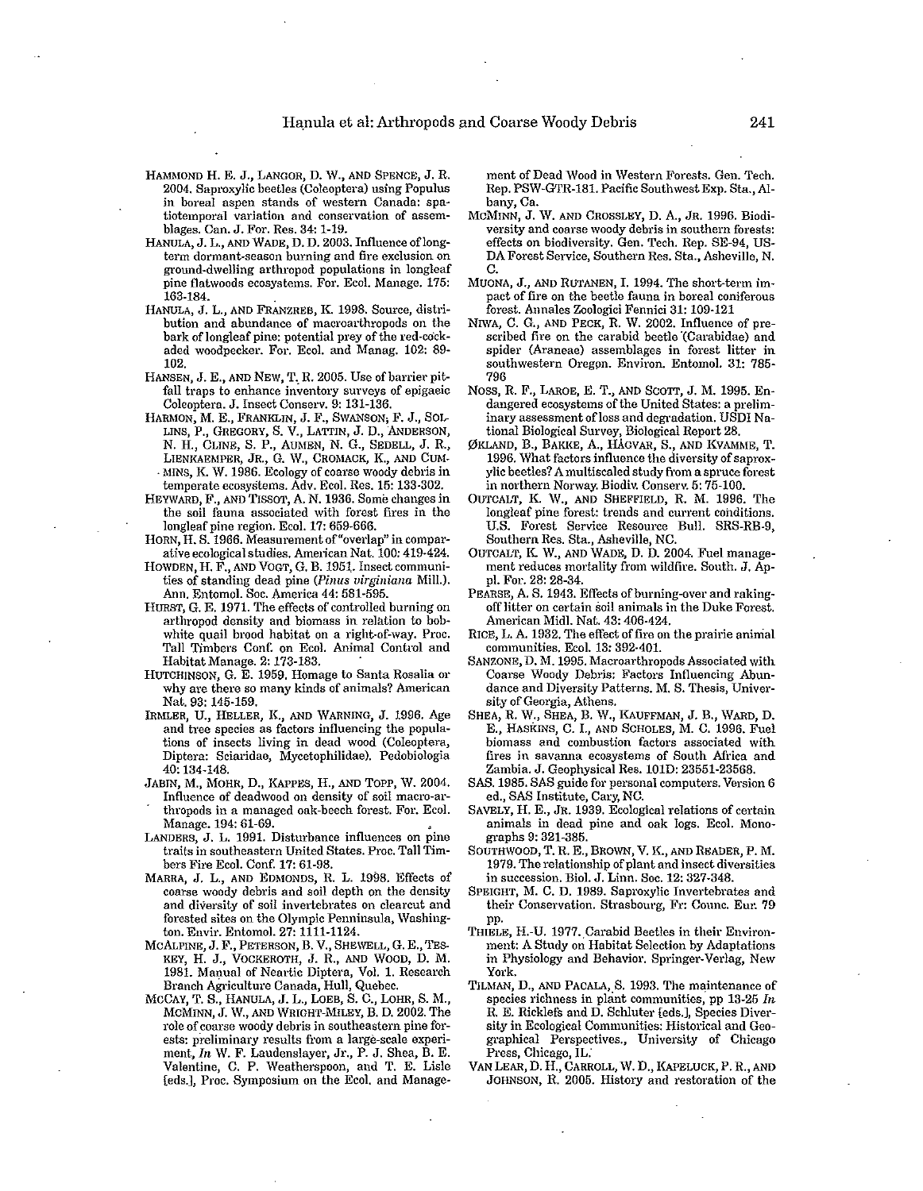- HAMMOND H. E. J., LANGOR, D. W., AND SPENCE, J. R. 2004. Saproxylic beetles (Coleoptera) using Populus in boreal aspen stands of western Canada: spa· tiotemporal variation and conservation of assemblages. Can. J. For. Res. 34: 1-19.
- HANULA, J. L., AND WADE, D. D. 2003. Influence of longterm dormant-season burning and fire exclusion on ground-dwelling arthropod populations in longleaf pine flatwoods ecosystems. For. Ecol. Manage. 175: 163·184.
- HANULA, J. L., AND FRANZREB, K. 1998. Source, distribution and abundance of macroarthropods on the bark of longleaf pine: potential prey of the red-cockaded woodpecker. For. Eco1. and Manag. 102: 89· 102.
- HANSEN, J. E., AND NEW, T. R. 2005. Use of barrier pitfall traps to enhance inventory surveys of epigaeic Coleoptera. J. Insect Conserv. 9: 131-136.
- HARMON, M. E., FRANKLIN, J. F., SWANSON; F. J., SOL-LINS, P., GREGORY, S. V., LATTIN, J. D., ANDERSON, N. H., CLINE, S. P., AUMEN, N. G., SEDELL, J. R, LIENKAEMPER, JR., G. W., CROMACK, K., AND CUM-MINS, K. W. 1986. Ecology of coarse woody debris in temperate ecosystems. Adv. Ecol. Res. 15: 133-302.
- HEYWARD, F., AND TISSOT, A. N. 1936. Some changes in the soil fauna associated with forest fires in the longleaf pine region. Ecol. 17: 659-666.
- HORN, H. S. 1966. Measurement of "overlap" in comparative ecological studies. American Nat. 100: 419-424.
- HOWDEN, H. F., AND VOGT, G. B. 1951. Insect communities of standing dead pine *(Pinus virginiana* Mill.). Ann. Entomol. Soc. America 44: 581-595.
- HURST, G. E. 1971. The effects of controlled burning on arthropod density and biomass in relation to bobwhite quail brood habitat on a right-of-way. Proc. Tall Timbers Conf. on Ecol. Animal Control and Habitat Manage. 2: 173-183.
- HUTCHINSON, G. E. 1959. Homage to Santa Rosalia or why are there so many kinds of animals? American Nat. 93: 145·159.
- IRMLER, U., HELLER, K, AND WARNING, J. 1996. Age and tree species as factors influencing the populations of insects living in dead wood (Coleoptera, Diptera: Sciaridae, Mycetophilidae). Pedobiologia 40: 134·148.
- JABIN, M., MOHR, D., KAPPES, H., AND Topp, W. 2004. Influence of deadwood on density of soil macro-arthropods in a managed oak-beech forest. For. Ecol.
- Manage. 194: 61·69. LANDERS, J. L. 1991. Disturbance influences on pine traits in southeastern United States. Proc. Tall Timbers Fire Ecol. Conf. 17: 61-98.
- MARRA, J. L., AND EDMONDS, R L. 1998. Effects of coarse woody debris and soil depth on the density and diversity of soil invertebrates on clearcut and forested sites on the Olympic Penninsula, Washington. Envir. Entomol. 27: 1111-1124.
- MCALPINE, J. F., PETERSON, B. V., SHEWELL, G. E., TES· KEY, H. J., VOCKEROTH, J. R., AND WOOD, D. M. 1981. Manual of Neartic Diptera, Vol. 1. Research Branch Agriculture Canada, Hull, Quebec.
- MCCAY, T. S., RANULA, J. L., LOEB, S. C., LoHR, S. M., MCMINN, J. W., AND WRIGHT·MILEY, B. D. 2002. The role of coarse woody debris in southeastern pine forests: preliminary results from a large-scale experiment, *In* W. F. Laudenslayer, Jr., P. J. Shea, B. E. Valentine, C. P. \Veatherspoon, and T. E. Lisle [eds.], Proc. Symposium on the Ecol. and Manage-

ment of Dead \Vood in Western Forests. Gen. Tech. Rep. PSW -GTR-181. Pacific Southwest Exp. Sta., Albany, Ca.

- McMINN, J. \V. AND CROSSLEY, D. A., JR. 1996. Biodiversity and coarse woody debris in southern forests: effects on biodiversity. Gen. Tech. Rep. SE-94, US-DA Forest Service, Southern Res. Sta., Asheville, N. C.
- MUONA, J., AND RUTANEN, I. 1994. The short-term impact of fire on the beetle fauna in boreal coniferous forest. Annales Zoologici Fennici 31: 109-121
- NIWA, C. G., AND PECK, R. W. 2002. Influence of prescribed fire on the carabid beetle '(Carabidae) and spider (Araneae) assemblages in forest litter in southwestern Oregon. Environ. Entomol. 31: 785-796
- NOSS, R. F., LAROE, E. T., AND SCOTT, J. M. 1995. Endangered ecosystems of the United States: a preliminary assessment of loss and degradation. USDI National Biological Survey, Biological Report 28.
- 0KLAND, B., BAKKE, A., HAGVAR, S., AND KVAMME, T. 1996. What factors influence the diversity of saproxylic beetles? A multiscaled study from a spruce forest in northern Norway. Biodiv. Conserv. 5: 75-100.
- OUTCALT, K. W., AND SHEFFIELD, R M. 1996. The longleaf pine forest: trends and current conditions. U.S. Forest Service Resource Bull. SRS-RB·9, Southern Res. Sta., Asheville, NC.
- OUTCALT, K. W., AND \VADE, D. D. 2004. Fuel management reduces mortality from wildfire. South. J. AppI. For. 28: 28·34.
- PEARSE, A. S. 1943. Effects of burning-over and rakingoff Htter on certain soil animals in the Duke Forest. American MidI. Nat. 43: 406·424.
- RICE, L. A. 1932. The effect of fire on the prairie animal communities. Eco1. 13: 392-401.
- SANZONE, D. M. 1995. Macroarthropods Associated with Coarse Woody Debris: Factors Influencing Abundance and Diversity Patterns. M. S. Thesis, University of Georgia, Athens.
- SHEA, R W., SHEA, B. \V., KAUFFMAN, J. B., \VARD, D. E., HAsKINS, C. I., AND SCHOLES, M. C. 1996. Fuel biomass and combustion factors associated with fires in savanna ecosystems of South Africa and Zambia. J. Geophysical Res. lOlD: 23551-23568.
- SAS. 1985. SAS guide for personal computers. Version 6 ed., SAS Institute, Cary, NC.
- SAVELY, H. E., JR. 1939. Ecological relations of certain animals in dead pine and oak logs. Ecol. Monographs 9: 321·385.
- SOUTHWOOD, T. R. E., BROWN, V. K, AND READER, P. M. 1979. The relationship of plant and insect diversities in succession. BioI. J. Linn. Soc. 12: 327-348.
- SPEIGHT, M. C. D. 1989. Saproxylic Invertebrates and their Conservation. Strasbourg, Fr: Counc. Eur. 79 pp.
- THIELE, H.-U. 1977. Carabid Beetles in their Environment: A Study on Habitat Selection by Adaptations in Physiology and Behavior. Springer-Ver1ag, New York.
- TILMAN, D., AND PACALA, S. 1993. The maintenance of species richness in plant communities, pp 13-25 In R. E. Ricklefs and D. Schluter [eds.], Species Diversity in Ecological Communities: Historical and Geographical Perspectives., University of Chicago Press, Chicago, IL:
- VAN LEAR, D. H., CARROLL, \V. D., KAPELUCK, P. R, AND JOHNSON, R 2005. History and restoration of the